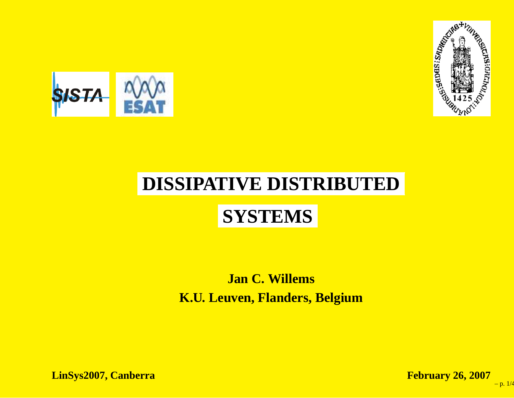



# **DISSIPATIVE DISTRIBUTED**

## **SYSTEMS**

#### **Jan C. WillemsK.U. Leuven, Flanders, Belgium**

**LinSys2007, Canberra**

 **February 26, <sup>2007</sup>** – p. 1/4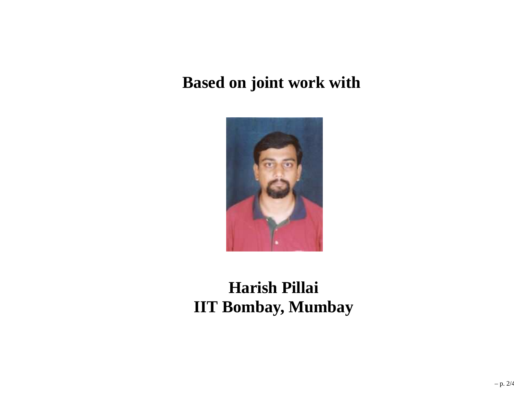#### **Based on joint work with**



### **Harish PillaiIIT Bombay, Mumbay**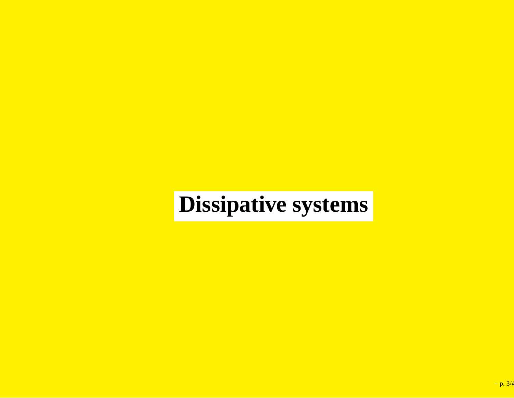# **Dissipative systems**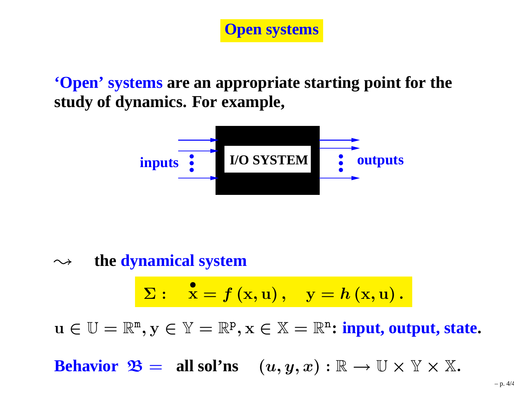

**'Open' systems are an appropriate starting point for thestudy of dynamics. For example,**



 $\sim$ **the dynamical system**

$$
\Sigma: \quad \stackrel{\bullet}{\mathbf{x}}=f\left(\mathbf{x},\mathbf{u}\right), \quad \mathbf{y}=h\left(\mathbf{x},\mathbf{u}\right).
$$

 $u \in \mathbb{U} = \mathbb{R}^n, y \in \mathbb{Y} = \mathbb{R}^p, x \in \mathbb{X} = \mathbb{R}^n$ : **input, output, state.** 

**Behavior**  $\mathfrak{B} =$  **all** sol'ns  $(u, y, x) : \mathbb{R} \to \mathbb{U} \times \mathbb{Y} \times \mathbb{X}$ .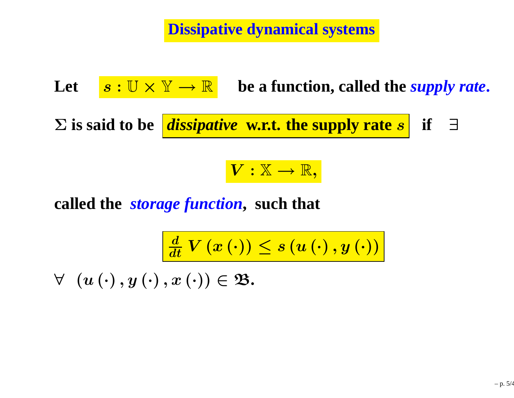**Dissipative dynamical systems**

**Let** $\boldsymbol{s} : \mathbb{U} \times \mathbb{Y} \rightarrow \mathbb{R}$  be a function, called the *supply rate*. Σ **is said to be** *dissipative* **w.r.t. the supply rate** s **if** ∃

# $V:\mathbb{X}\rightarrow\mathbb{R},$

**called the** *storage function***, such that**

$$
\frac{d}{dt} \, V\left(x\left(\cdot\right)\right) \leq s\left(u\left(\cdot\right), y\left(\cdot\right)\right)
$$

 $\forall\;\;\left(u\left(\cdot\right), y\left(\cdot\right), x\left(\cdot\right)\right)\in\mathfrak{B}.$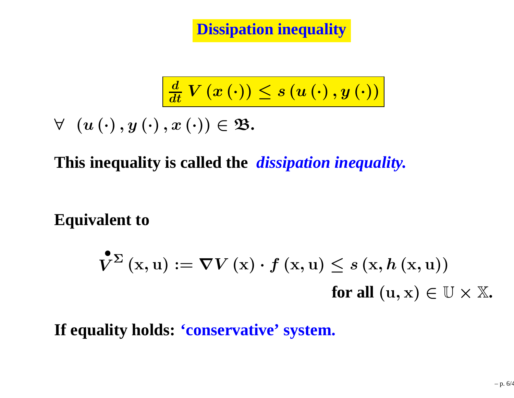$$
\frac{d}{dt} \, V \left( x \left( \cdot \right) \right) \leq s \left( u \left( \cdot \right), y \left( \cdot \right) \right)
$$

 $\forall (u(\cdot), y(\cdot), x(\cdot)) \in \mathfrak{B}.$ 

**This inequality is called the** *dissipation inequality.*

**Equivalent to**

$$
\mathbf{V}^{\Sigma}\left(\mathbf{x},\mathbf{u}\right) := \boldsymbol{\nabla}V\left(\mathbf{x}\right) \cdot f\left(\mathbf{x},\mathbf{u}\right) \leq s\left(\mathbf{x},h\left(\mathbf{x},\mathbf{u}\right)\right) \quad \text{for all } (\mathbf{u},\mathbf{x}) \in \mathbb{U} \times \mathbb{X}.
$$

**If equality holds: 'conservative' system.**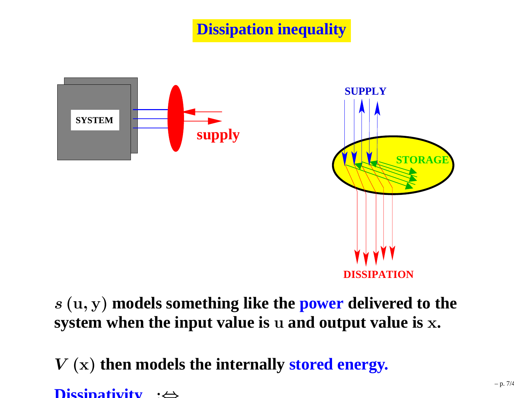

s (u, y) **models something like the power delivered to the system when the input value is** <sup>u</sup> **and output value is** <sup>x</sup>**.**

V (x) **then models the internally stored energy.**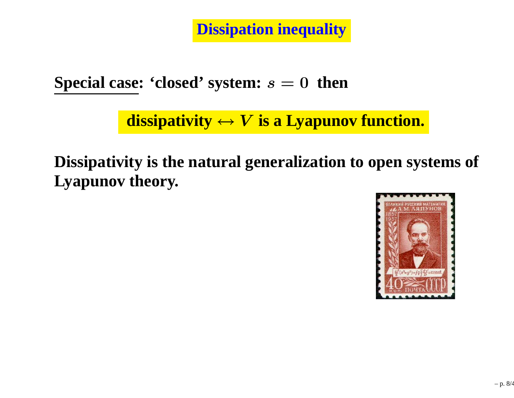**Special case: 'closed' system:** <sup>s</sup> <sup>=</sup> <sup>0</sup> **then**

 $\mathbf{dissipativity} \leftrightarrow V \text{ is a Lyapunov function.}$ 

**Dissipativity is the natural generalization to open systems ofLyapunov theory.**

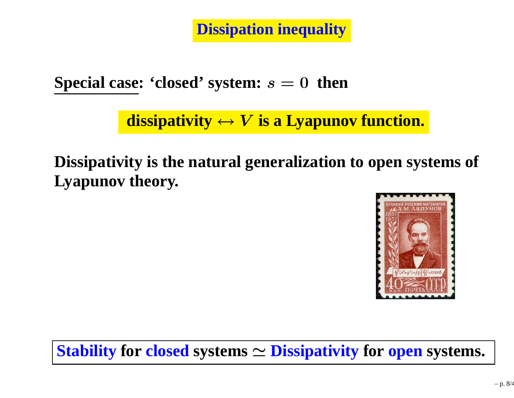**Special case: 'closed' system:** <sup>s</sup> <sup>=</sup> <sup>0</sup> **then**

 $\mathbf{dissipativity} \leftrightarrow V \text{ is a Lyapunov function.}$ 

**Dissipativity is the natural generalization to open systems ofLyapunov theory.**



**Stability for closed systems** <sup>≃</sup> **Dissipativity for open systems.**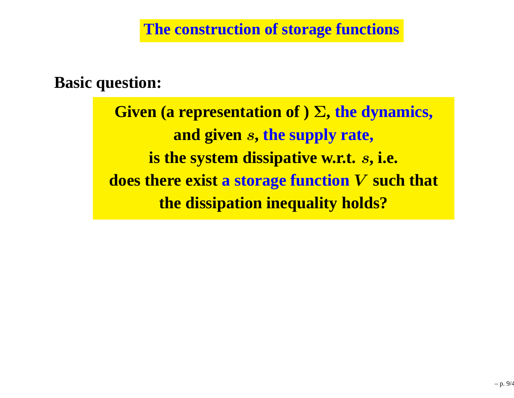#### **Basic question:**

**Given (a representation of )**Σ**, the dynamics, and given**s**, the supply rate, is the system dissipative w.r.t.** <sup>s</sup>**, i.e. does there exist <sup>a</sup> storage function**V **such that the dissipation inequality holds?**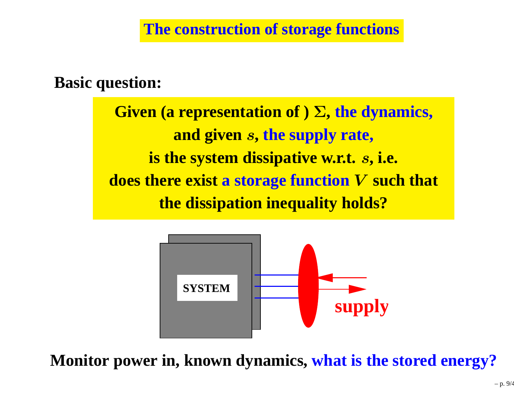#### **Basic question:**

**Given (a representation of )**Σ**, the dynamics, and given**s**, the supply rate, is the system dissipative w.r.t.** <sup>s</sup>**, i.e. does there exist <sup>a</sup> storage function**V **such that the dissipation inequality holds?**



**Monitor power in, known dynamics, what is the stored energy?**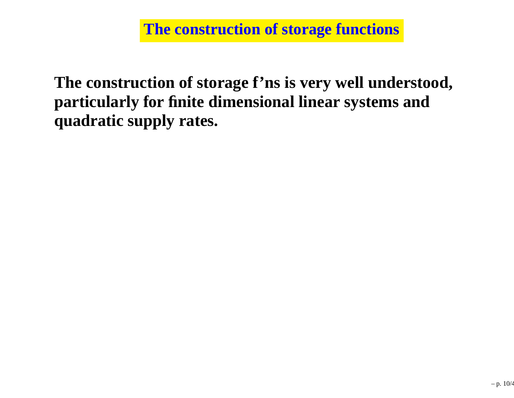**The construction of storage f'ns is very well understood, particularly for finite dimensional linear systems andquadratic supply rates.**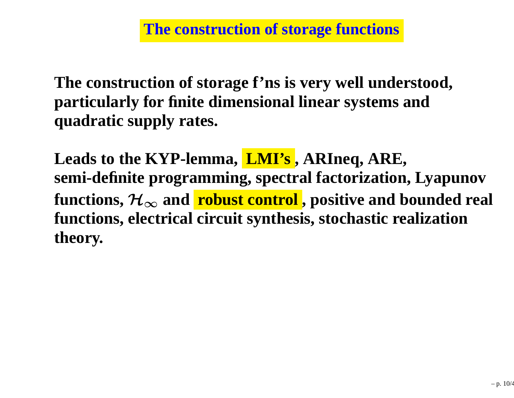**The construction of storage f'ns is very well understood, particularly for finite dimensional linear systems andquadratic supply rates.**

**Leads to the KYP-lemma, LMI's , ARIneq, ARE, semi-definite programming, spectral factorization, Lyapunov**functions,  $\mathcal{H}_{\infty}$  and  $\overline{\phantom{a} \textbf{robust control}}$  , positive and bounded re **and robust control , positive and bounded real functions, electrical circuit synthesis, stochastic realizationtheory.**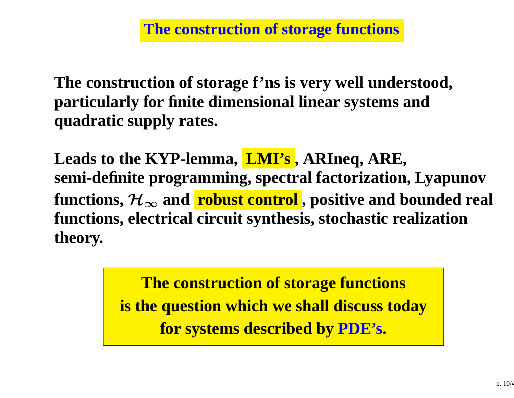**The construction of storage f'ns is very well understood, particularly for finite dimensional linear systems andquadratic supply rates.**

**Leads to the KYP-lemma, LMI's , ARIneq, ARE, semi-definite programming, spectral factorization, Lyapunov**functions,  $\mathcal{H}_{\infty}$  and  $\overline{\phantom{a} \textbf{robust control}}$  , positive and bounded re **and robust control , positive and bounded real functions, electrical circuit synthesis, stochastic realizationtheory.**

> **The construction of storage functionsis the question which we shall discuss todayfor systems described by PDE's.**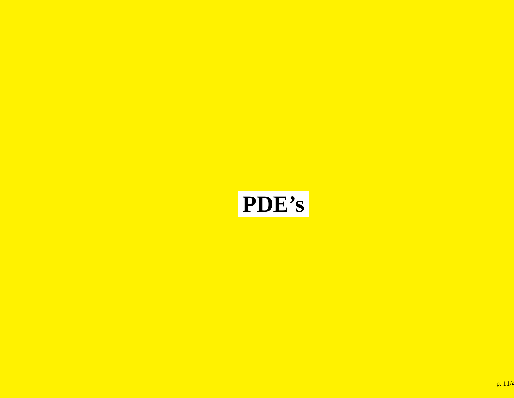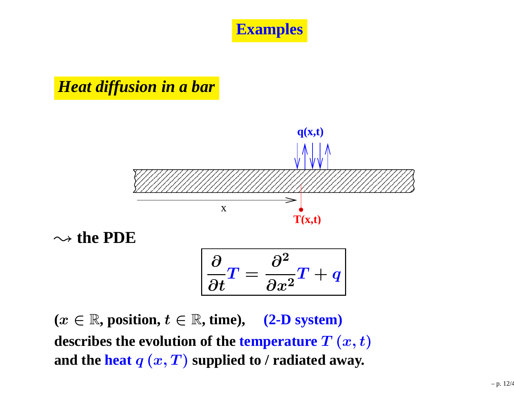**Examples**

#### *Heat diffusion in <sup>a</sup> bar*



 $(x \in \mathbb{R}, \text{position}, t \in \mathbb{R}, \text{time}), \quad (2\text{-}D \text{ system})$ **describes the evolution of the**  $\boldsymbol{\mathrm{temperature}}$  $T\left(x,t\right)$ and the  $\textbf{heat}\ q\ (x,T)$  supplied to  $\prime$  radiated away.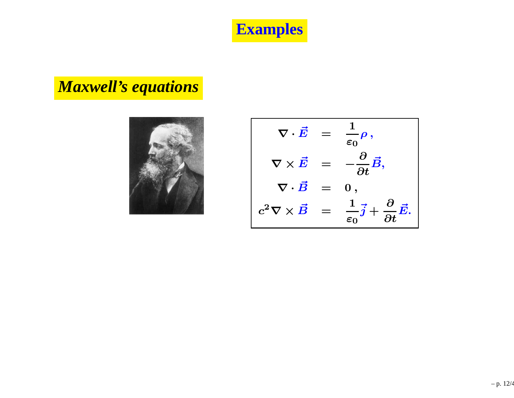**Examples**

## *Maxwell's equations*



$$
\nabla \cdot \vec{E} = \frac{1}{\varepsilon_0} \rho,
$$
  

$$
\nabla \times \vec{E} = -\frac{\partial}{\partial t} \vec{B},
$$
  

$$
\nabla \cdot \vec{B} = 0,
$$
  

$$
c^2 \nabla \times \vec{B} = \frac{1}{\varepsilon_0} \vec{j} + \frac{\partial}{\partial t} \vec{E}.
$$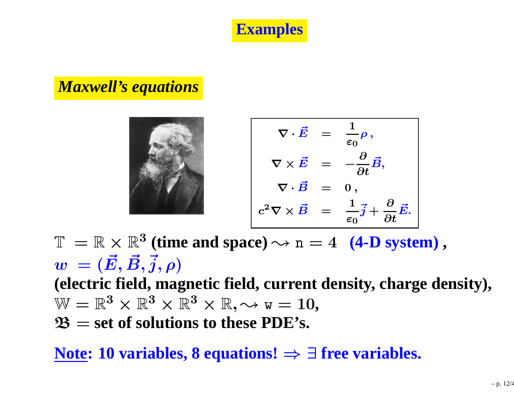**Examples**

#### *Maxwell's equations*

$$
\nabla \cdot \vec{E} = \frac{1}{\varepsilon_0} \rho,
$$
  

$$
\nabla \times \vec{E} = -\frac{\partial}{\partial t} \vec{B},
$$
  

$$
\nabla \cdot \vec{B} = 0,
$$
  

$$
c^2 \nabla \times \vec{B} = \frac{1}{\varepsilon_0} \vec{j} + \frac{\partial}{\partial t} \vec{E}.
$$

 $\mathbb{T} = \mathbb{R} \times \mathbb{R}^3$  (time and space)  $\rightsquigarrow$  n = 4 **(4-D system)**,<br> $\mathbf{a} = (\vec{E} \ \vec{B} \ \vec{a} \ \vec{a})$  $w_{\parallel} = (\vec{E}, \vec{B}, \vec{j}, \rho)$  **(electric field, magnetic field, current density, charge density),**  $\mathbb{W} = \mathbb{R}^3 \times \mathbb{R}^3 \times \mathbb{R}^3 \times \mathbb{R}, \leadsto$   $\text{w} = 10,$   $\mathfrak{B} =$  set of solutions to these PDE's. B <sup>=</sup> **set of solutions to these PDE's.**

**Note: 10 variables, 8 equations!** <sup>⇒</sup> <sup>∃</sup> **free variables.**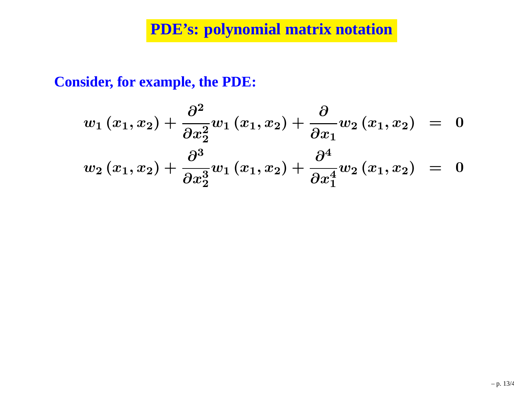### **PDE's: polynomial matrix notation**

**Consider, for example, the PDE:**

$$
w_1(x_1, x_2) + \frac{\partial^2}{\partial x_2^2} w_1(x_1, x_2) + \frac{\partial}{\partial x_1} w_2(x_1, x_2) = 0
$$
  

$$
w_2(x_1, x_2) + \frac{\partial^3}{\partial x_2^3} w_1(x_1, x_2) + \frac{\partial^4}{\partial x_1^4} w_2(x_1, x_2) = 0
$$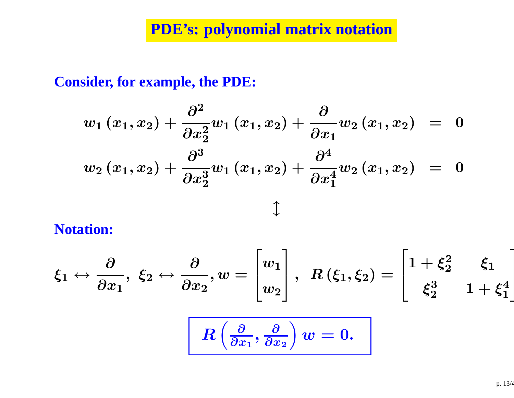## **PDE's: polynomial matrix notation**

**Consider, for example, the PDE:**

$$
w_{1}(x_{1}, x_{2}) + \frac{\partial^{2}}{\partial x_{2}^{2}} w_{1}(x_{1}, x_{2}) + \frac{\partial}{\partial x_{1}} w_{2}(x_{1}, x_{2}) = 0
$$
  

$$
w_{2}(x_{1}, x_{2}) + \frac{\partial^{3}}{\partial x_{2}^{3}} w_{1}(x_{1}, x_{2}) + \frac{\partial^{4}}{\partial x_{1}^{4}} w_{2}(x_{1}, x_{2}) = 0
$$
  

$$
\updownarrow
$$

**Notation:**

$$
\xi_1 \leftrightarrow \frac{\partial}{\partial x_1}, \xi_2 \leftrightarrow \frac{\partial}{\partial x_2}, w = \begin{bmatrix} w_1 \\ w_2 \end{bmatrix}, R(\xi_1, \xi_2) = \begin{bmatrix} 1 + \xi_2^2 & \xi_1 \\ \xi_2^3 & 1 + \xi_1^4 \end{bmatrix}
$$

$$
R\left(\frac{\partial}{\partial x_1}, \frac{\partial}{\partial x_2}\right) w = 0.
$$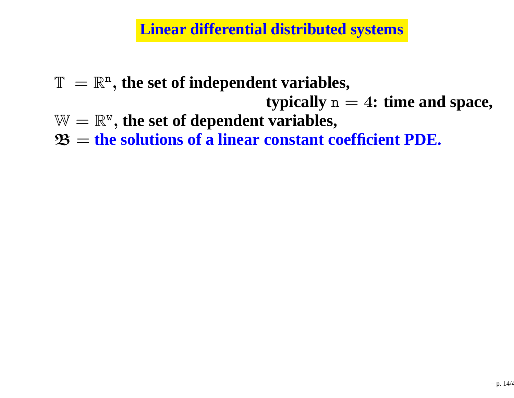#### **Linear differential distributed systems**

- $\mathbb{T}\ =\mathbb{R}^{\tt n}$  , **the set of independent variables,**
	- **typically**n <sup>=</sup> <sup>4</sup>**: time and space,**
- $\mathbb{W}=\mathbb{R}^{\mathtt{w}}$  , the set of dependent variabl , **the set of dependent variables,**
- $\mathfrak{B}=2$ **the solutions of <sup>a</sup> linear constant coefficient PDE.**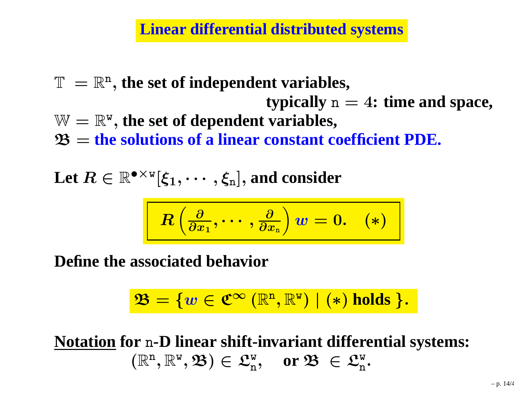**Linear differential distributed systems**

 $\mathbb{T}\ =\mathbb{R}^{\tt n}$  , **the set of independent variables, typically**n <sup>=</sup> <sup>4</sup>**: time and space,**  $\mathbb{W}=\mathbb{R}^{\mathtt{w}}$  , the set of dependent variabl  $\mathfrak{B}=2$  , **the set of dependent variables, the solutions of <sup>a</sup> linear constant coefficient PDE.**

 $\textbf{Let}~R\in\mathbb{R}^{\bullet\times\texttt{w}}$  ${}^{\mathrm{\scriptscriptstyle W}}[\boldsymbol{\xi}_1,$  $\mathbf{y}, \dots, \mathbf{\xi}_{\mathbf{n}}$ , and consider

$$
R\left(\tfrac{\partial}{\partial x_1},\cdots,\tfrac{\partial}{\partial x_{\rm n}}\right)w=0. \quad \ (*)
$$

**Define the associated behavior**

$$
\mathfrak{B} = \{ w \in \mathfrak{C}^{\infty} \left( \mathbb{R}^{n}, \mathbb{R}^{w} \right) \mid (*) \text{ holds } \}.
$$

**Notation for** <sup>n</sup>**-D linear shift-invariant differential systems:** $(\mathbb{R}^{\mathrm{n}}$  $^{\tt n}, \mathbb{R}^{\tt w}$  $(\mathbb{v},\mathfrak{B})\in\mathfrak{L}_{\rm n}^{\rm w}$  $\mathbf{e}_\mathrm{n}^\mathrm{w}, \quad \text{or } \mathfrak{B} \ \in \mathfrak{L}_\mathrm{n}^\mathrm{w}$ n.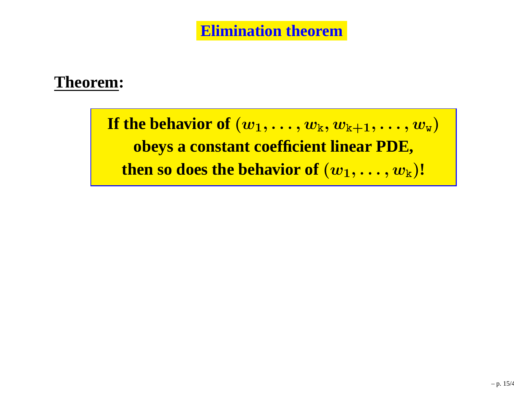#### **Theorem:**

If the behavior of  $(w_1,\ldots,w_{\mathrm{k}},w_{\mathrm{k+1}},\ldots,w_{\mathrm{w}})$ **obeys <sup>a</sup> constant coefficient linear PDE,**  ${\bf then\ so\ does\ the\ behavior\ of\ }({\boldsymbol w}_1,\ldots,{\boldsymbol w}_{\rm k}){\bf !}$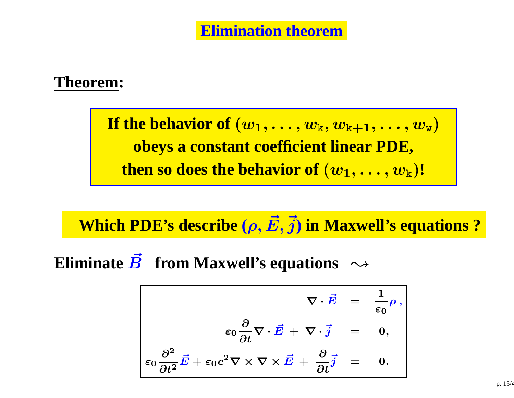#### **Theorem:**

If the behavior of  $(w_1,\ldots,w_{\mathrm{k}},w_{\mathrm{k+1}},\ldots,w_{\mathrm{w}})$ **obeys <sup>a</sup> constant coefficient linear PDE,**  ${\bf then\ so\ does\ the\ behavior\ of\ }({\boldsymbol w}_1,\ldots,{\boldsymbol w}_{\rm k}){\bf !}$ 

## $\bf{Which~PDE's~describe}$   $(\rho, \vec{E}, \vec{j})$  in  $\bf{Maxwell's~equations}$  ?

**Eliminate**  $\vec{B}$  **from Maxwell's equations**  $\rightsquigarrow$ 

$$
\nabla \cdot \vec{E} = \frac{1}{\varepsilon_0} \rho,
$$
  
\n
$$
\varepsilon_0 \frac{\partial}{\partial t} \nabla \cdot \vec{E} + \nabla \cdot \vec{j} = 0,
$$
  
\n
$$
\varepsilon_0 \frac{\partial^2}{\partial t^2} \vec{E} + \varepsilon_0 c^2 \nabla \times \nabla \times \vec{E} + \frac{\partial}{\partial t} \vec{j} = 0.
$$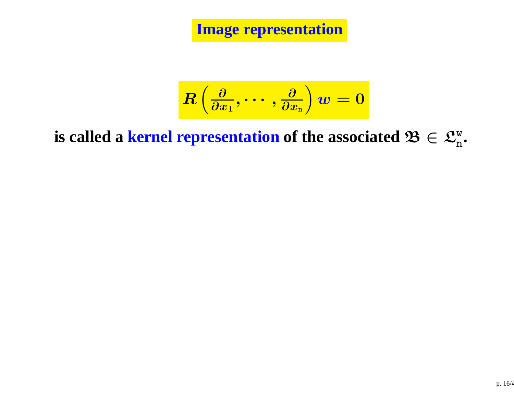**Image representation**

$$
\displaystyle R\left(\tfrac{\partial}{\partial x_1},\cdots,\tfrac{\partial}{\partial x_{\rm n}}\right)w=0
$$

**is called a kernel representation of the associated**  $\mathfrak{B} \in \mathfrak{L}_{\rm n}^{\rm w}$ **.**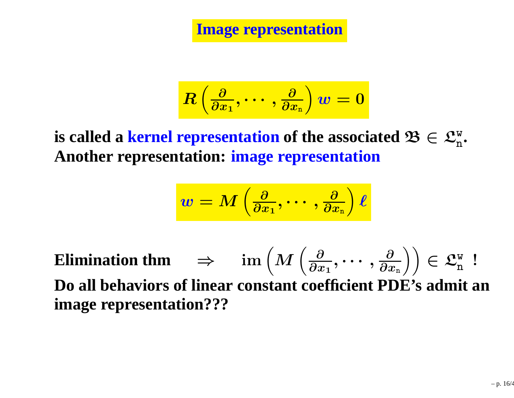**Image representation**

$$
\displaystyle R\left(\tfrac{\partial}{\partial x_1},\cdots,\tfrac{\partial}{\partial x_{\rm n}}\right)w=0
$$

 $\mathbf{c}$  **2 kernel representation** of the associated  $\mathbf{\mathcal{B}} \in \mathcal{L}_{\mathbf{n}}^{\mathbf{w}}$ .<br>Another representation: image representation **Another representation: image representation**

$$
w=M\left(\tfrac{\partial}{\partial x_1},\cdots,\tfrac{\partial}{\partial x_{\rm n}}\right)\ell
$$

**Elimination thm**  $\Rightarrow$   $\text{im}\left(M\left(\frac{\partial}{\partial x_1}, \cdots, \frac{\partial}{\partial x_n}\right)\right) \in \mathfrak{L}_n^w$  ! **Do all behaviors of linear constant coefficient PDE's admit animage representation???**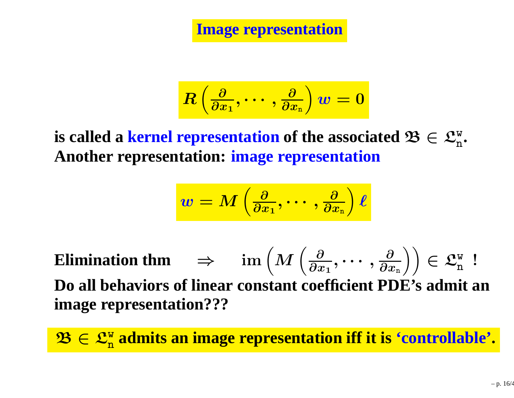**Image representation**

$$
\displaystyle R\left(\tfrac{\partial}{\partial x_1},\cdots,\tfrac{\partial}{\partial x_{\rm n}}\right)w=0
$$

 $\mathbf{c}$  **2 kernel representation** of the associated  $\mathbf{\mathcal{B}} \in \mathcal{L}_{\mathbf{n}}^{\mathbf{w}}$ .<br>Another representation: image representation **Another representation: image representation**

$$
\boldsymbol{w} = \boldsymbol{M}\left(\tfrac{\partial}{\partial x_1},\cdots,\tfrac{\partial}{\partial x_n}\right)\boldsymbol{\ell}
$$

**Elimination thm**  $\Rightarrow$   $\text{im}\left(M\left(\frac{\partial}{\partial x_1}, \cdots, \frac{\partial}{\partial x_n}\right)\right) \in \mathfrak{L}_n^w$  ! **Do all behaviors of linear constant coefficient PDE's admit animage representation???**

 $\mathbf{\mathcal{B}} \in \mathcal{L}_{\text{n}}^{\text{w}}$  admits an image representation iff it is 'controllable'.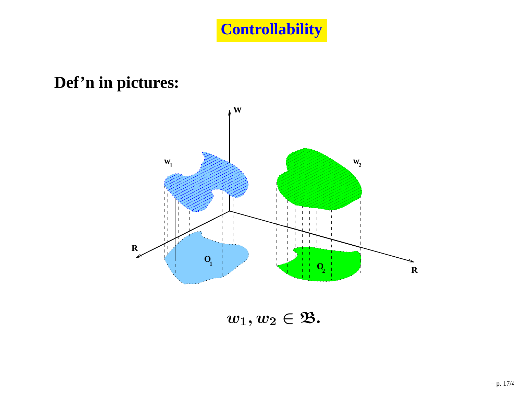#### **Def'n in pictures:**



 $w_1, w_2 \in \mathfrak{B}.$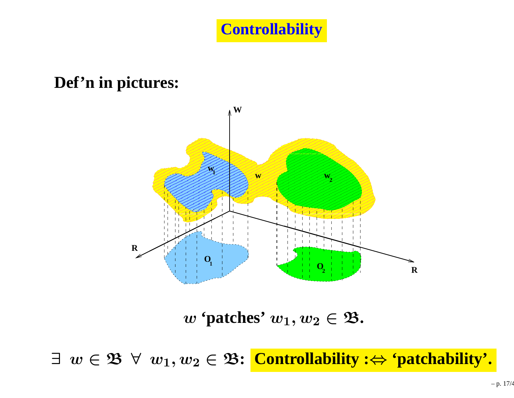#### **Def'n in pictures:**



 $w$  **'patches'**  $w_1, w_2 \in \mathfrak{B}$ .

∃ <sup>w</sup> <sup>∈</sup> <sup>B</sup> <sup>∀</sup> <sup>w</sup>1, <sup>w</sup><sup>2</sup> <sup>∈</sup> <sup>B</sup>**: Controllability :**<sup>⇔</sup> **'patchability'.**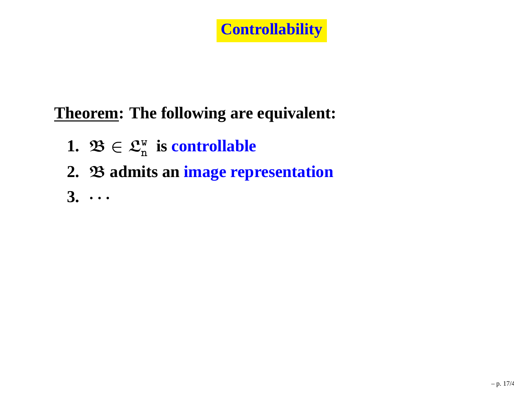## **Controllability**

## **Theorem: The following are equivalent:**

- **1.**  $\mathfrak{B} \in \mathfrak{L}_{\mathrm{n}}^{\mathrm{w}}$  is controllable
- **2.** B **admits an image representation**
- **3.** $\cdot$   $\cdot$   $\cdot$   $\cdot$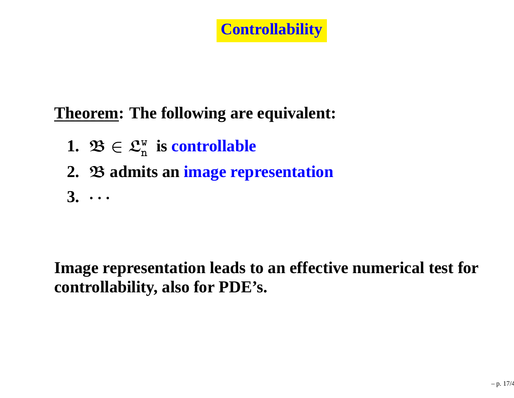## **Controllability**

## **Theorem: The following are equivalent:**

- **1.**  $\mathfrak{B} \in \mathfrak{L}_{\mathrm{n}}^{\mathrm{w}}$  is controllable
- **2.** B **admits an image representation**
- **3.** $\cdot$   $\cdot$   $\cdot$   $\cdot$

**Image representation leads to an effective numerical test forcontrollability, also for PDE's.**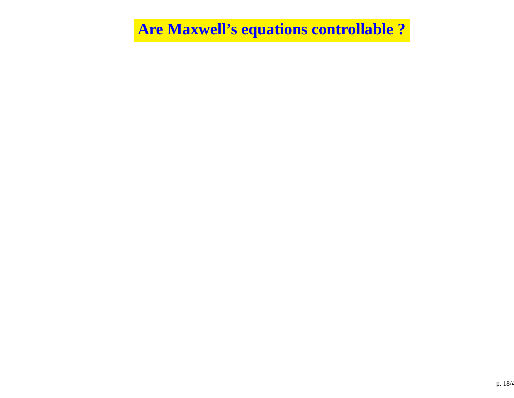**Are Maxwell's equations controllable ?**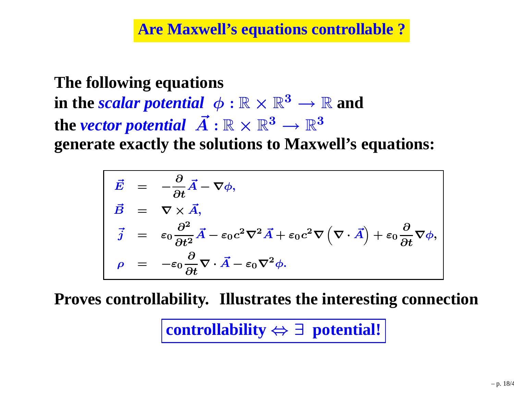**Are Maxwell's equations controllable ?**

**The following equationsin the** *scalar potential*  $\phi : \mathbb{R} \times \mathbb{R}^3$  $\sim$  ma  $\rightarrow \mathbb{R}$  and  $\rightarrow$ the *vector potential*  $\vec{A}: \mathbb{R} \times \mathbb{R}^3 \rightarrow$ ігілп  $^3\to \mathbb{R}^3$ **generate exactly the solutions to Maxwell's equations:**

$$
\vec{E} = -\frac{\partial}{\partial t} \vec{A} - \nabla \phi,
$$
\n
$$
\vec{B} = \nabla \times \vec{A},
$$
\n
$$
\vec{j} = \varepsilon_0 \frac{\partial^2}{\partial t^2} \vec{A} - \varepsilon_0 c^2 \nabla^2 \vec{A} + \varepsilon_0 c^2 \nabla (\nabla \cdot \vec{A}) + \varepsilon_0 \frac{\partial}{\partial t} \nabla \phi,
$$
\n
$$
\rho = -\varepsilon_0 \frac{\partial}{\partial t} \nabla \cdot \vec{A} - \varepsilon_0 \nabla^2 \phi.
$$

**Proves controllability. Illustrates the interesting connection**

**controllability** <sup>⇔</sup> <sup>∃</sup> **potential!**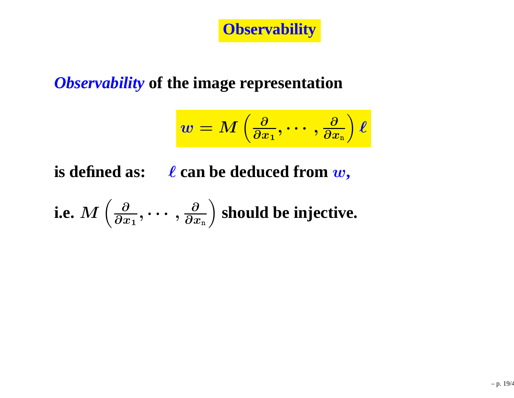**Observability**

## *Observability* **of the image representation**

$$
w = M\left(\tfrac{\partial}{\partial x_1},\cdots,\tfrac{\partial}{\partial x_n}\right)\ell
$$

**is defined as:** <sup>ℓ</sup> **can be deduced from** <sup>w</sup>**,**

i.e. 
$$
M\left(\frac{\partial}{\partial x_1},\cdots,\frac{\partial}{\partial x_n}\right)
$$
 should be injective.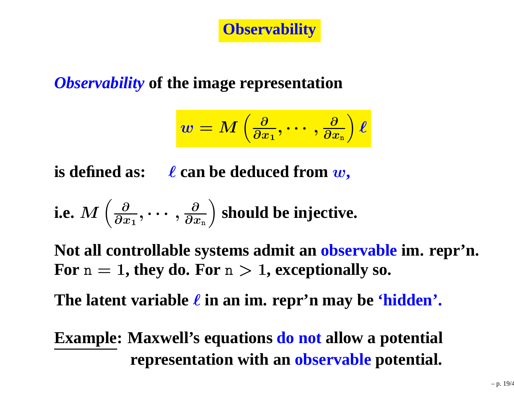**Observability**

## *Observability* **of the image representation**

$$
w=M\left(\tfrac{\partial}{\partial x_1},\cdots,\tfrac{\partial}{\partial x_n}\right)\ell
$$

**is defined as:** <sup>ℓ</sup> **can be deduced from** <sup>w</sup>**,**

i.e. 
$$
M\left(\frac{\partial}{\partial x_1},\cdots,\frac{\partial}{\partial x_n}\right)
$$
 should be injective.

**Not all controllable systems admit an observable im. repr'n. For**  $n = 1$ , they do. For  $n > 1$ , exceptionally so.

**The latent variable** ℓ **in an im. repr'n may be 'hidden'.**

## **Example: Maxwell's equations do not allow <sup>a</sup> potential representation with an observable potential.**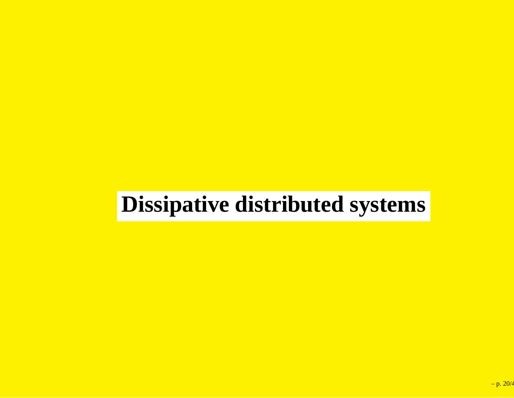# **Dissipative distributed systems**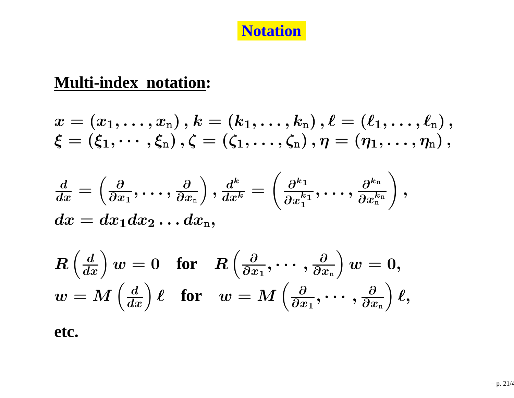#### **Notation**

#### **Multi-index notation:**

$$
x=(x_1,\ldots,x_{\rm n})\,,k=(k_1,\ldots,k_{\rm n})\,,\ell=(\ell_1,\ldots,\ell_{\rm n})\,,\\ \xi=(\xi_1,\cdots,\xi_{\rm n})\,,\zeta=(\zeta_1,\ldots,\zeta_{\rm n})\,,\eta=(\eta_1,\ldots,\eta_{\rm n})\,,
$$

$$
\frac{d}{dx}=\left(\frac{\partial}{\partial x_1},\ldots,\frac{\partial}{\partial x_{\rm n}}\right),\frac{d^k}{dx^k}=\left(\frac{\partial^{k_1}}{\partial x_1^{k_1}},\ldots,\frac{\partial^{k_{\rm n}}}{\partial x_{\rm n}^{k_{\rm n}}}\right),\newline dx=dx_1dx_2\ldots dx_{\rm n},
$$

$$
R\left(\frac{d}{dx}\right)w=0\quad \text{for}\quad R\left(\frac{\partial}{\partial x_1},\cdots,\frac{\partial}{\partial x_n}\right)w=0,\\ w=M\left(\frac{d}{dx}\right)\ell\quad \text{for}\quad w=M\left(\frac{\partial}{\partial x_1},\cdots,\frac{\partial}{\partial x_n}\right)\ell,
$$

**etc.**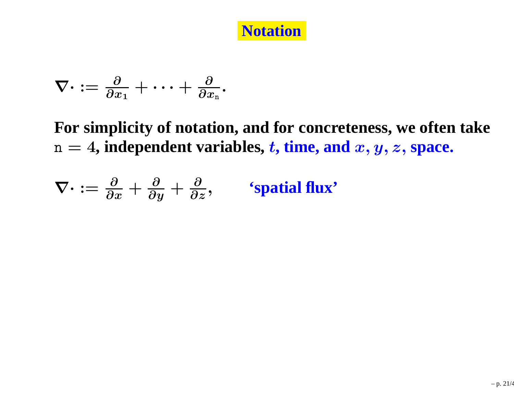

$$
\nabla\cdot:=\tfrac{\partial}{\partial x_1}+\cdots+\tfrac{\partial}{\partial x_{\scriptscriptstyle \rm n}}.
$$

**For simplicity of notation, and for concreteness, we often take** $n = 4$ , independent variables,  $t$ , time, and  $x, y, z$ , space.

$$
\nabla \cdot := \frac{\partial}{\partial x} + \frac{\partial}{\partial y} + \frac{\partial}{\partial z}, \qquad \text{'spatial flux'}
$$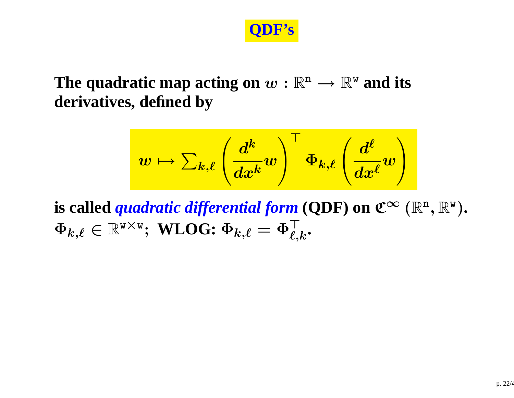

#### The quadratic map acting on  $w:\mathbb{R}^{\text{n}}\rightarrow\mathbb{R}^{\text{w}}$  and its<br>derivatives. defined bv **derivatives, defined by**

$$
w \mapsto \sum_{k,\ell} \left( \frac{d^k}{dx^k} w \right)^\top \Phi_{k,\ell} \left( \frac{d^\ell}{dx^\ell} w \right)
$$

**is called** *quadratic differential form* **(QDF) on**  $\mathfrak{C}^{\infty}\left(\mathbb{R}^{\mathfrak{n}},\mathbb{R}^{\mathsf{w}}\right)$ **.**<br> $\mathbf{F}^{\top}$  $\Phi_{k,\ell} \in \mathbb{R}^{\textsf{w} \times \textsf{w}}; \ \textbf{WLOG:} \ \Phi_{k,\ell} = \Phi_{\ell,k}^{\top}.$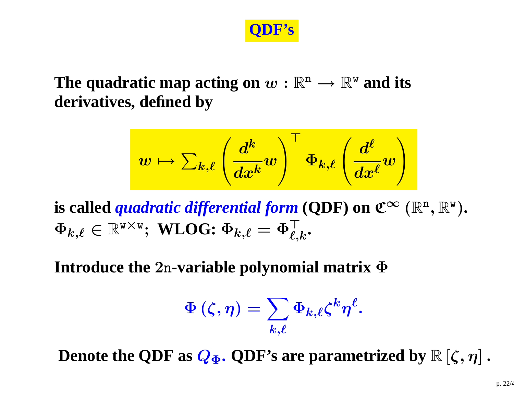

#### The quadratic map acting on  $w:\mathbb{R}^{\text{n}}\rightarrow\mathbb{R}^{\text{w}}$  and its<br>derivatives. defined bv **derivatives, defined by**

$$
w \mapsto \sum_{k,\ell} \left( \frac{d^k}{dx^k} w \right)^\top \Phi_{k,\ell} \left( \frac{d^\ell}{dx^\ell} w \right)
$$

**is called** *quadratic differential form* **(QDF) on**  $\mathfrak{C}^{\infty}\left(\mathbb{R}^{\mathfrak{n}},\mathbb{R}^{\mathsf{w}}\right)$ **.**<br> $\mathbf{F}^{\top}$  $\Phi_{k,\ell} \in \mathbb{R}^{\textsf{w} \times \textsf{w}}; \ \textbf{WLOG:} \ \Phi_{k,\ell} = \Phi_{\ell,k}^{\top}.$ 

**Introduce the** <sup>2</sup>n**-variable polynomial matrix** <sup>Φ</sup>

$$
\Phi\left(\zeta,\eta\right)=\sum_{k,\ell}\Phi_{k,\ell}\zeta^k\eta^\ell.
$$

**Denote the QDF** as  $\mathbf{Q}_{\mathbf{\Phi}}$ . QDF's are parametrized by  $\mathbb{R} \left[ \zeta, \eta \right]$  .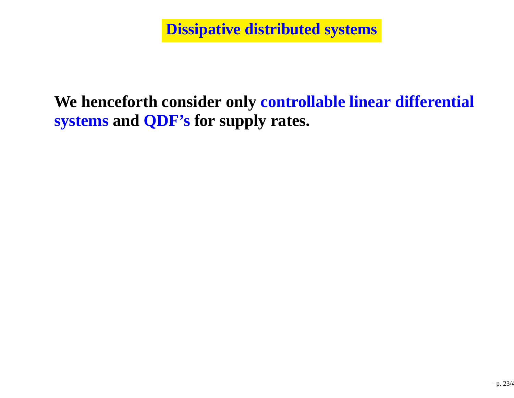**Dissipative distributed systems**

### **We henceforth consider only controllable linear differential systems and QDF's for supply rates.**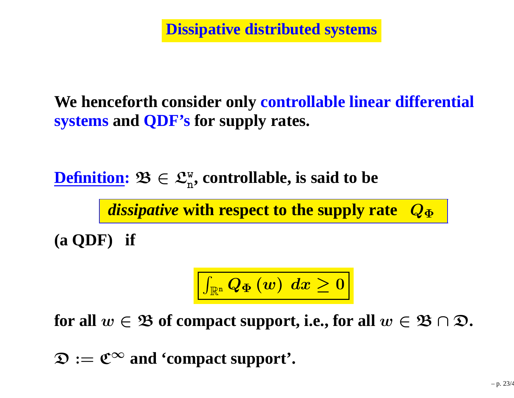**Dissipative distributed systems**

**We henceforth consider only controllable linear differential systems and QDF's for supply rates.**

**<u>Definition</u>: 23 ∈ Lu**n n**, controllable, is said to be**

> *dissipative* **with respect to the supply rate**  $\bm{Q}_{\bm{\Phi}}$

**(a QDF) if**

$$
\boxed{\textstyle \int_{\mathbb{R}^{\rm n}}Q_{\Phi }\left(w\right)\;dx\geq0}
$$

 $f$  **or all**  $w \in \mathfrak{B}$  of compact support, i.e., for all  $w \in \mathfrak{B} \cap \mathfrak{D}$ .

 $\mathfrak{D} := \mathfrak{C}^{\infty}$  and **'compact** support'.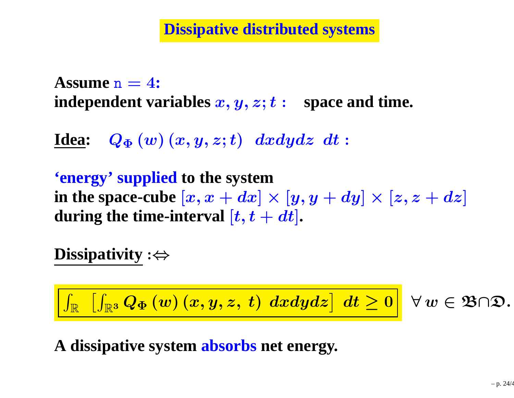**Dissipative distributed systems**

**Assume**n <sup>=</sup> <sup>4</sup>**:**  $\bf{independent\ variables}\ x,y,z;t:\ \bf{space\ and\ time.}$ 

**Idea:**  $Q_{\Phi}\left(w\right)\left(x,y,z;t\right)~dxdydz$   $dt$ :

**'energy' supplied to the systemin** the space-cube  $[x, x + dx] \times [y, y + dy] \times [z, z + dz]$ <br>during the time interval  $[t, t + dt]$  $\boldsymbol{d}$ uring the time-interval  $[\boldsymbol{t}, \boldsymbol{t}+\boldsymbol{dt}]$ .

**Dissipativity** :<sup>⇔</sup>

$$
\boxed{\int_{\mathbb{R}}~\left[\int_{\mathbb{R}^{3}}Q_{\Phi}\left(w\right)\left(x,y,z,\;t\right)\;dxdydz\right]~dt \geq 0}~\forall\,w\in\mathfrak{B}\cap\mathfrak{D}.
$$

**A dissipative system absorbs net energy.**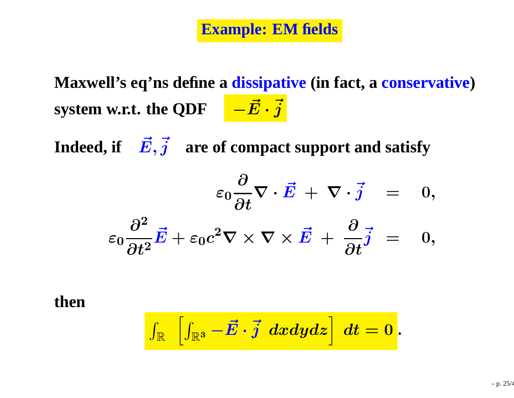**Maxwell's eq'ns define <sup>a</sup> dissipative (in fact, <sup>a</sup> conservative) system** w.r.t. the QDF  $-{\vec{E}}$ · $\vec{j}$ 

 $\textbf{I}$ ndeed, if  $\ \ \vec{E}, \vec{j} \quad \textbf{are of compact support and satisfy}$ 

$$
\varepsilon_0 \frac{\partial}{\partial t} \nabla \cdot \vec{E} + \nabla \cdot \vec{j} = 0,
$$
  

$$
\varepsilon_0 \frac{\partial^2}{\partial t^2} \vec{E} + \varepsilon_0 c^2 \nabla \times \nabla \times \vec{E} + \frac{\partial}{\partial t} \vec{j} = 0,
$$

**then**

$$
\boxed{\int_{\mathbb{R}}\;\left[\int_{\mathbb{R}^3}-\vec{E}\cdot\vec{j}\;~dxdydz\right]~dt=0}.
$$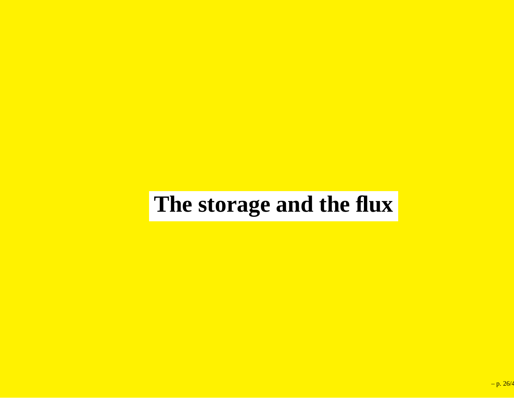## **The storage and the flux**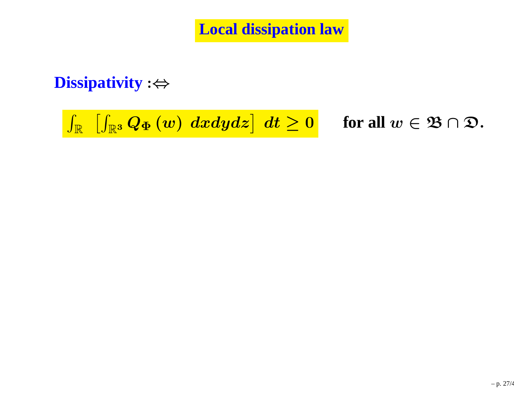**Local dissipation law**

### **Dissipativity** :<sup>⇔</sup>

 $\int_{\mathbb{R}}\;\left[\int_{\mathbb{R}^{3}}Q_{\Phi}\left(w\right)\;dxdydz\right]\;dt\geq$ 

 $\geq 0$  for all  $w \in \mathfrak{B} \cap \mathfrak{D}$ .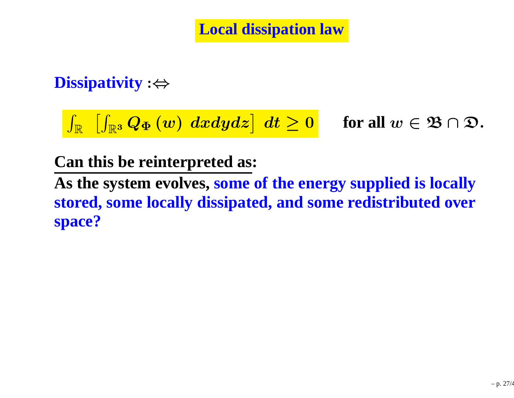**Local dissipation law**

### **Dissipativity** :<sup>⇔</sup>

 $\int_{\mathbb{R}}\;\left[\int_{\mathbb{R}^{3}}Q_{\Phi}\left(w\right)\;dxdydz\right]\;dt\geq$ 

 $\geq 0$  for all  $w \in \mathfrak{B} \cap \mathfrak{D}$ .

#### **Can this be reinterpreted as:**

**As the system evolves, some of the energy supplied is locally stored, some locally dissipated, and some redistributed overspace?**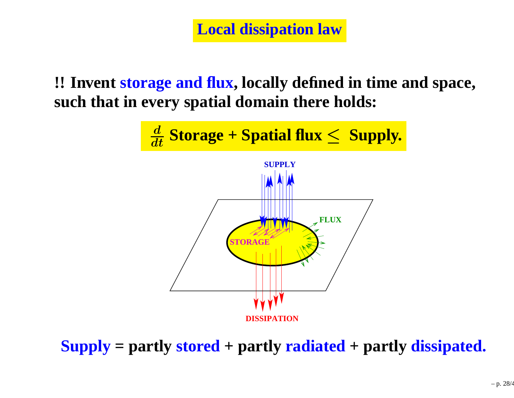**Local dissipation law**

**!! Invent storage and flux, locally defined in time and space, such that in every spatial domain there holds:**



**Supply <sup>=</sup> partly stored <sup>+</sup> partly radiated <sup>+</sup> partly dissipated.**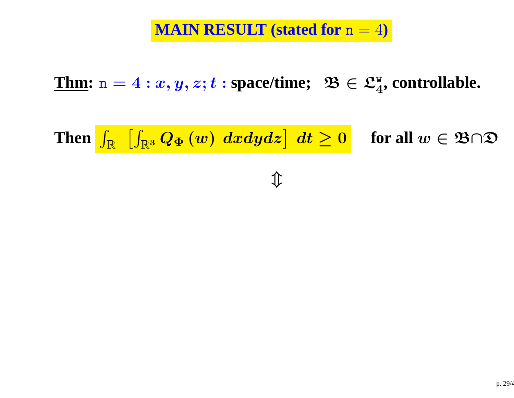$\underline{\textbf{Thm}}{\textbf{: n}} = 4: x,y,z; t: \textbf{space/time}; \,\,\, \mathfrak{B} \in \mathfrak{L}^{\text{w}}_4$ <sup>4</sup>**, controllable.**

Then  $\int_\mathbb{R}$  $\overline{\phantom{a}}$  $\int_{\mathbb{R}^3} Q_{\Phi}(w) \; dxdydz \right] \; dt \geq 0$  for all  $w \in \mathfrak{B} \cap \mathfrak{D}$ 

 $\hat{\mathbb{I}}$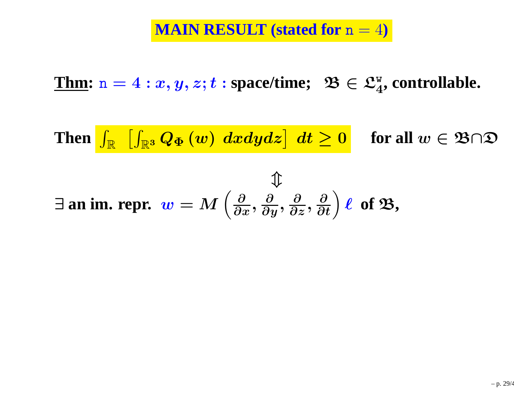$\underline{\textbf{Thm}}{\textbf{: n}} = 4: x,y,z; t: \textbf{space/time}; \,\,\, \mathfrak{B} \in \mathfrak{L}^{\text{w}}_4$ <sup>4</sup>**, controllable.**

Then  $\int_\mathbb{R}$  $\overline{\phantom{a}}$  $\int_{\mathbb{R}^3} Q_{\Phi}(w) \; dxdydz \right] \; dt \geq 0$  for all  $w \in \mathfrak{B} \cap \mathfrak{D}$ 

$$
\exists \text{ an im. repr. } w = M\left(\frac{\partial}{\partial x}, \frac{\partial}{\partial y}, \frac{\partial}{\partial z}, \frac{\partial}{\partial t}\right) \ell \text{ of } \mathfrak{B},
$$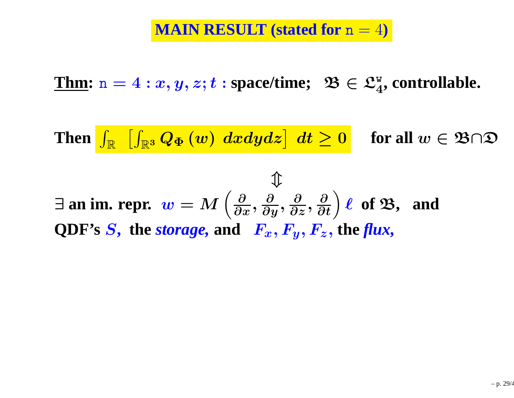$\underline{\textbf{Thm}}{\textbf{: n}} = 4: x,y,z; t: \textbf{space/time}; \,\,\, \mathfrak{B} \in \mathfrak{L}^{\text{w}}_4$ <sup>4</sup>**, controllable.**

Then  $\int_\mathbb{R}$  $\overline{\phantom{a}}$  $\int_{\mathbb{R}^3} Q_{\Phi}(w) \; dxdydz \right] \; dt \geq 0$  for all  $w \in \mathfrak{B} \cap \mathfrak{D}$ 

$$
\mathcal{F}_{\mathcal{B}}
$$
  

$$
\exists \text{ an im. repr. } w = M\left(\frac{\partial}{\partial x}, \frac{\partial}{\partial y}, \frac{\partial}{\partial z}, \frac{\partial}{\partial t}\right) \ell \text{ of } \mathcal{B}, \text{ and }
$$
  
QDF's S, the *storage*, and  $F_x, F_y, F_z$ , the *flux*,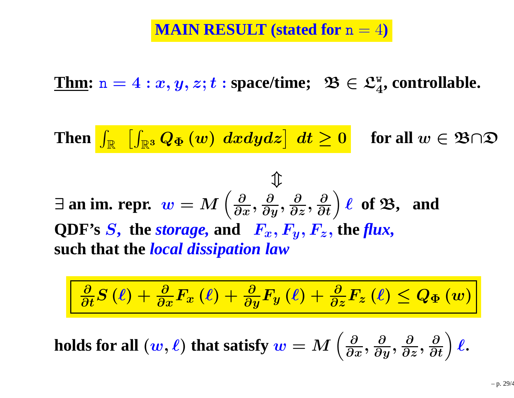$\underline{\textbf{Thm}}{\textbf{: n}} = 4: x,y,z; t: \textbf{space/time}; \,\,\, \mathfrak{B} \in \mathfrak{L}^{\text{w}}_4$ <sup>4</sup>**, controllable.**

Then  $\int_\mathbb{R}$  $\overline{\phantom{a}}$  $\int_{\mathbb{R}^3} Q_{\Phi} \left( w \right) \: dxdydz \big] \: \: dt \geq 0$ **for all** w∈B∩D

 $\bigwedge$ 

$$
\exists \text{ an im. repr. } w = M\left(\frac{\partial}{\partial x}, \frac{\partial}{\partial y}, \frac{\partial}{\partial z}, \frac{\partial}{\partial t}\right) \ell \text{ of } \mathfrak{B}, \text{ and }
$$
QDF's S, the *storage*, and  $F_x, F_y, F_z$ , the *flux*, such that the *local dissipation law*

$$
\frac{\partial}{\partial t}S\left(\ell\right) + \frac{\partial}{\partial x}F_x\left(\ell\right) + \frac{\partial}{\partial y}F_y\left(\ell\right) + \frac{\partial}{\partial z}F_z\left(\ell\right) \leq Q_{\Phi}\left(w\right)
$$

 $\boldsymbol{b}$  **holds** for all  $(\boldsymbol{w}, \boldsymbol{\ell})$  that satisfy  $\boldsymbol{w} = M$  $\Bigg(\frac{\partial}{\partial\overline{z}}% ,\frac{\partial}{\partial\overline{z}}% ,\frac{\partial}{\partial\overline{z}}% ,\frac{\partial}{\partial\overline{z}}% ,\frac{\partial}{\partial\overline{z}}% ,\frac{\partial}{\partial\overline{z}}% ,\frac{\partial}{\partial\overline{z}}% ,\frac{\partial}{\partial\overline{z}}% ,\frac{\partial}{\partial\overline{z}}% ,\frac{\partial}{\partial\overline{z}}% ,\frac{\partial}{\partial\overline{z}}% ,\frac{\partial}{\partial\overline{z}}% ,\frac{\partial}{\partial\overline{z}}% ,\frac{\partial}{\partial\overline{z}}% ,\frac{\partial}{\partial$  $\partial x$  ' ∂ $\partial y$  ' ∂ ∂z, ∂ $\frac{\partial}{\partial t}\bigg)$  $\boldsymbol{\ell}$  .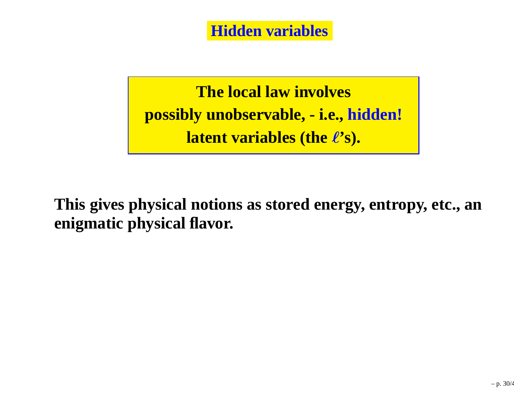**Hidden variables**

**The local law involvespossibly unobservable, - i.e., hidden!latent variables (the** <sup>ℓ</sup>**'s).**

**This gives physical notions as stored energy, entropy, etc., anenigmatic physical flavor.**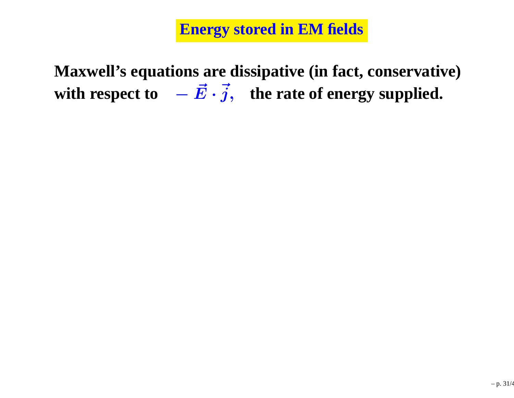**Maxwell's equations are dissipative (in fact, conservative)with respect to** $\vec{E}\cdot\vec{j},$  **the rate of energy supplied.**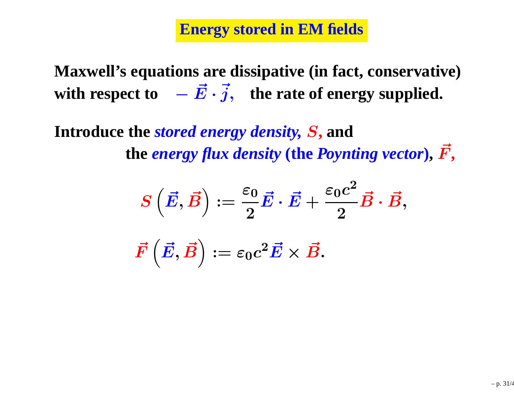**Maxwell's equations are dissipative (in fact, conservative)with respect to** $\vec{E}\cdot\vec{j},$  **the rate of energy supplied.** 

**Introduce the** *stored energy density,* S**, andthe** *energy flux density* **(the** *Poynting vector* **),**F~**,**

$$
\begin{array}{llll} S\left(\vec{E},\vec{B}\right):=\frac{\varepsilon_0}{2}\vec{E}\cdot\vec{E}+\frac{\varepsilon_0c^2}{2}\vec{B}\cdot\vec{B},\\\\ \vec{F}\left(\vec{E},\vec{B}\right):=\varepsilon_0c^2\vec{E}\times\vec{B}.\\ \end{array}
$$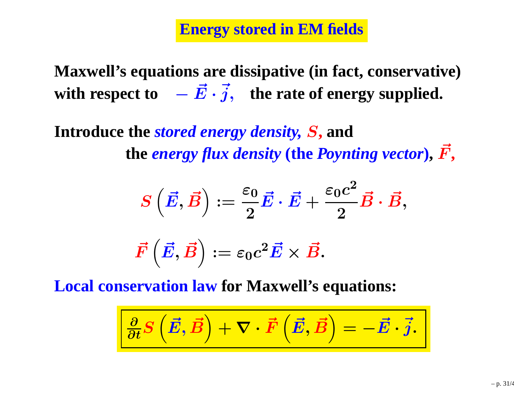**Maxwell's equations are dissipative (in fact, conservative)with respect to** $\vec{E}\cdot\vec{j},$  **the rate of energy supplied.** 

**Introduce the** *stored energy density,* S**, andthe** *energy flux density* **(the** *Poynting vector* **),**F~**,**

$$
\begin{array}{l} S\left(\vec{E}, \vec{B}\right) := \frac{\varepsilon_0}{2} \vec{E} \cdot \vec{E} + \frac{\varepsilon_0 c^2}{2} \vec{B} \cdot \vec{B}, \\ \\ \vec{F}\left(\vec{E}, \vec{B}\right) := \varepsilon_0 c^2 \vec{E} \times \vec{B}. \end{array}
$$

**Local conservation law for Maxwell's equations:**

$$
\boxed{\frac{\partial}{\partial t} S\left(\vec{E}, \vec{B}\right) + \nabla \cdot \vec{F}\left(\vec{E}, \vec{B}\right) = -\vec{E} \cdot \vec{j}.
$$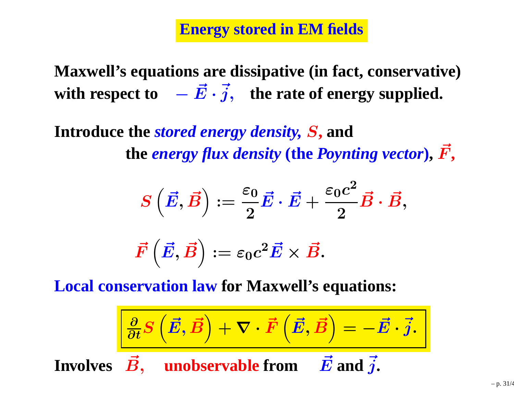**Maxwell's equations are dissipative (in fact, conservative)with respect to** $\vec{E}\cdot\vec{j},$  **the rate of energy supplied.** 

**Introduce the** *stored energy density,* S**, andthe** *energy flux density* **(the** *Poynting vector* **),**F~**,**

$$
\begin{array}{l} S\left(\vec{E}, \vec{B}\right) := \frac{\varepsilon_0}{2} \vec{E} \cdot \vec{E} + \frac{\varepsilon_0 c^2}{2} \vec{B} \cdot \vec{B}, \\ \\ \vec{F}\left(\vec{E}, \vec{B}\right) := \varepsilon_0 c^2 \vec{E} \times \vec{B}. \end{array}
$$

**Local conservation law for Maxwell's equations:**

$$
\frac{\left|\frac{\partial}{\partial t}S\left(\vec{E},\vec{B}\right)+\nabla\cdot\vec{F}\left(\vec{E},\vec{B}\right)\right|=-\vec{E}\cdot\vec{j}.
$$
  
Involves  $\vec{B}$ , unobservable from  $\vec{E}$  and  $\vec{j}$ .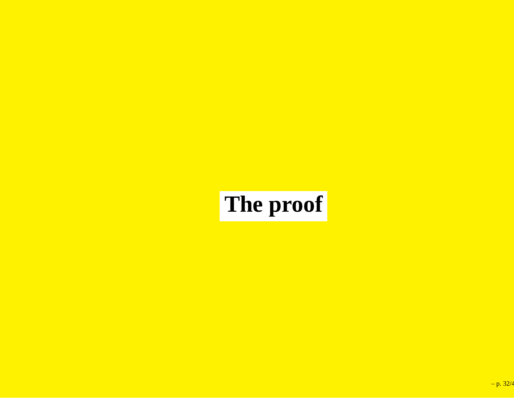## **The proof**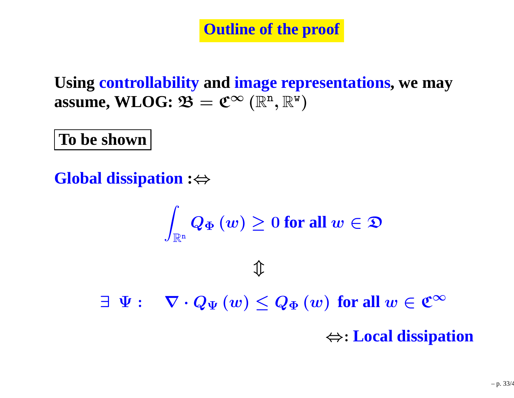**Outline of the proof**

**Using controllability and image representations, we may assume, WLOG:**  $\mathfrak{B} = \mathfrak{C}^{\infty}(\mathbb{R}^n, \mathbb{R}^w)$ 

**To be shown**

**Global dissipation :**<sup>⇔</sup>

$$
\int_{\mathbb{R}^{\mathrm{n}}}Q_{\Phi }\left( w\right) \geq 0\text{ for all }w\in \mathfrak{D}
$$

 $\hat{\mathbb{I}}$ 

 $\exists \Psi : \quad \nabla \cdot Q_{\Psi} \left( w \right) \leq Q_{\Phi} \left( w \right) \text{ for all } w \in \mathfrak{C}^{\infty}$ 

⇔: **Local dissipation**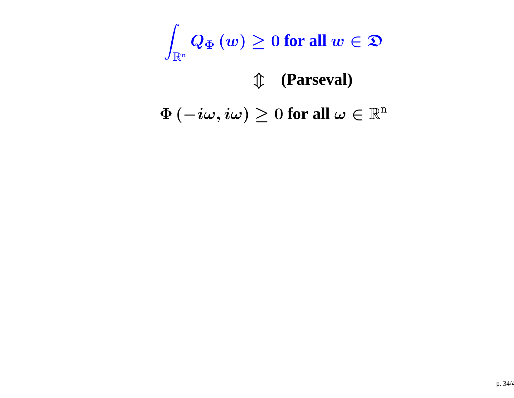$\displaystyle \int_{\mathbb{R}^{\mathrm{n}}} Q_{\Phi} \left( w \right) \geq 0$  for all  $w \in \mathfrak{D}$ 

## $\Phi\left(-i\omega,i\omega\right)\geq0$  for all  $\omega\in\mathbb{R}^{\mathtt{n}}$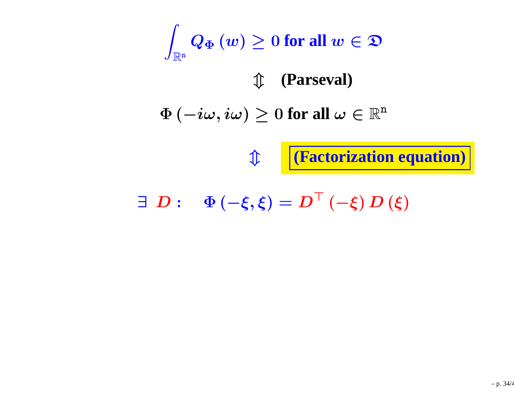$\displaystyle \int_{\mathbb{R}^{\mathrm{n}}} Q_{\Phi} \left( w \right) \geq 0$  for all  $w \in \mathfrak{D}$ 

 $\Phi\left(-i\omega,i\omega\right)\geq0$  for all  $\omega\in\mathbb{R}^{\mathtt{n}}$ 

 $\hat{\mathbb{I}}$ 

**(Factorization equation)**

 $\exists D: \Phi(-\xi, \xi) = D^{\top}(-\xi) D(\xi)$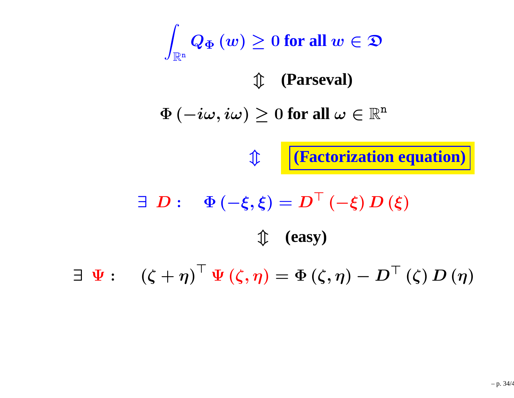$\displaystyle \int_{\mathbb{R}^{\mathrm{n}}} Q_{\Phi} \left( w \right) \geq 0$  for all  $w \in \mathfrak{D}$ 

 $\Phi\left(-i\omega,i\omega\right)\geq0$  for all  $\omega\in\mathbb{R}^{\mathtt{n}}$ 

m **(Factorization equation)**

 $\exists D: \Phi(-\xi, \xi) = D^{\top}(-\xi) D(\xi)$ m **(easy)**

 $\exists \Psi : \left( \zeta + \eta \right)^{\top} \Psi \left( \zeta , \eta \right) = \Phi \left( \zeta , \eta \right) - D^{\top} \left( \zeta \right) D \left( \eta \right)$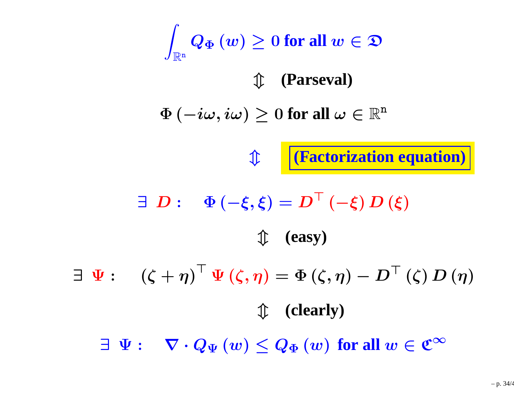$\displaystyle \int_{\mathbb{R}^{\mathrm{n}}} Q_{\Phi} \left( w \right) \geq 0$  for all  $w \in \mathfrak{D}$ 

 $\Phi\left(-i\omega,i\omega\right)\geq0$  for all  $\omega\in\mathbb{R}^{\mathtt{n}}$ 

m **(Factorization equation)**

 $\exists D: \Phi(-\xi, \xi) = D^{\top}(-\xi) D(\xi)$ m **(easy)**

 $\exists \Psi : \left( \zeta + \eta \right)^{\top} \Psi \left( \zeta , \eta \right) = \Phi \left( \zeta , \eta \right) - D^{\top} \left( \zeta \right) D \left( \eta \right)$ m **(clearly)**

 $\exists \Psi : \quad \nabla \cdot Q_{\Psi} \left( w \right) \leq Q_{\Phi} \left( w \right) \textbf{ for all } w \in \mathfrak{C}^{\infty}$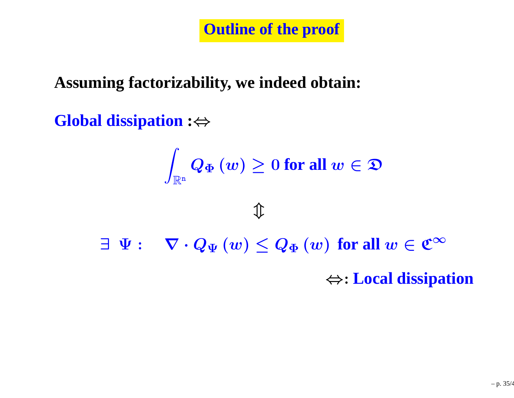**Outline of the proof**

### **Assuming factorizability, we indeed obtain:**

### **Global dissipation :**<sup>⇔</sup>

$$
\int_{\mathbb{R}^{\mathrm{n}}}Q_{\Phi }\left( w\right) \geq 0\text{ for all }w\in \mathfrak{D}
$$

 $\exists \Psi : \quad \nabla \cdot Q_{\Psi} \left( w \right) \leq Q_{\Phi} \left( w \right) \textbf{ for all } w \in \mathfrak{C}^{\infty}$ 

⇔: **Local dissipation**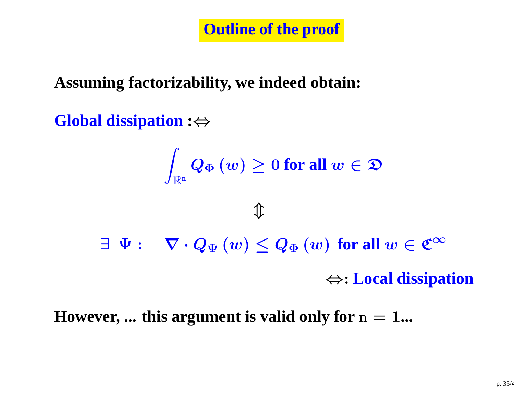**Outline of the proof**

### **Assuming factorizability, we indeed obtain:**

### **Global dissipation :**<sup>⇔</sup>

$$
\int_{\mathbb{R}^n} Q_{\Phi}(w) \ge 0 \text{ for all } w \in \mathfrak{D}
$$
\n
$$
\begin{array}{ll}\n\downarrow & \\
\exists \ \Psi : & \nabla \cdot Q_{\Psi}(w) \le Q_{\Phi}(w) \text{ for all } w \in \mathfrak{C}^{\infty} \\
\Leftrightarrow & \\
\text{Local dissipation}\n\end{array}
$$

### ${\bf However, ...}$  this argument is valid only for  ${\rm n=1...}$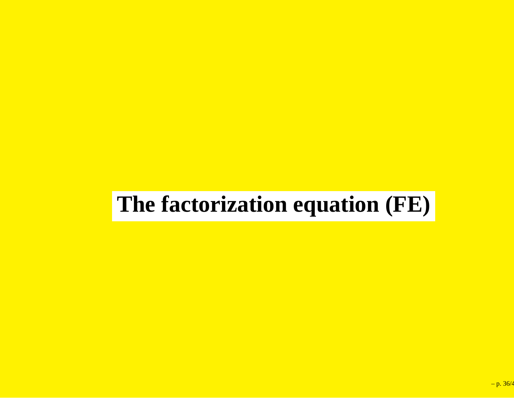## **The factorization equation (FE)**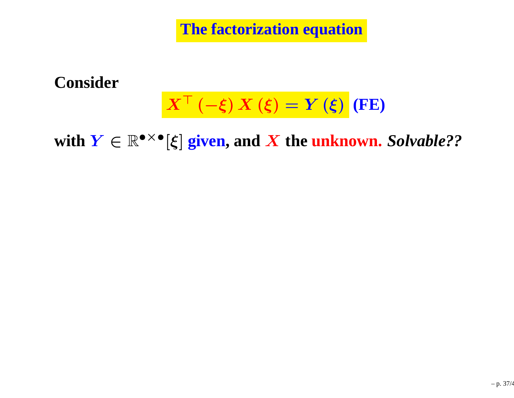**The factorization equation**

**Consider**

#### $\bm{X}^{\bm{\top}}$  $\frac{1}{\sqrt{2}}$  $\boldsymbol{\xi})$   $\boldsymbol{X}\left(\boldsymbol{\xi}\right)$ =Y(ξ) **(FE)**

 $\textbf{with } \boldsymbol{Y} \in \mathbb{R}^{\bullet \times \bullet}[\boldsymbol{\xi}]$  given, and  $\boldsymbol{X}$  the unknown. Solvable??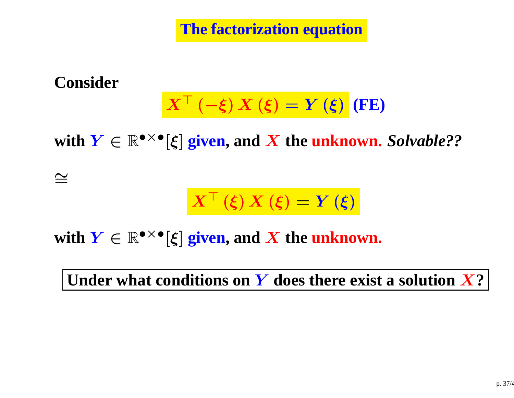**The factorization equation**

**Consider**

$$
X^{\top}(-\xi) X(\xi) = Y(\xi) (FE)
$$

 $\textbf{with } \boldsymbol{Y} \in \mathbb{R}^{\bullet \times \bullet}[\boldsymbol{\xi}]$  given, and  $\boldsymbol{X}$  the unknown. Solvable??

∼=

$$
X^{\top}(\xi) X(\xi) = Y(\xi)
$$

**with**  $Y \in \mathbb{R}^{\bullet \times \bullet} [\xi]$  **given, and**  $X$  **the unknown.** 

**Under what conditions on**Y **does there exist <sup>a</sup> solution** X**?**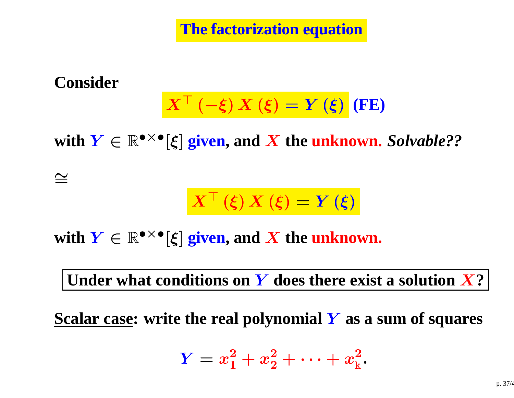**The factorization equation**

#### **Consider**

$$
X^{\top}(-\xi) X(\xi) = Y(\xi) (FE)
$$

 $\textbf{with } \boldsymbol{Y} \in \mathbb{R}^{\bullet \times \bullet}[\boldsymbol{\xi}]$  given, and  $\boldsymbol{X}$  the unknown. Solvable??

∼=

$$
X^{\top}\left(\xi\right)X\left(\xi\right)=Y\left(\xi\right)
$$

**with**  $Y \in \mathbb{R}^{\bullet \times \bullet} [\xi]$  **given, and**  $X$  **the unknown.** 

**Under what conditions on**Y **does there exist <sup>a</sup> solution** X**?**

**Scalar case: write the real polynomial**Y **as <sup>a</sup> sum of squares**

$$
Y = x_1^2 + x_2^2 + \cdots + x_k^2.
$$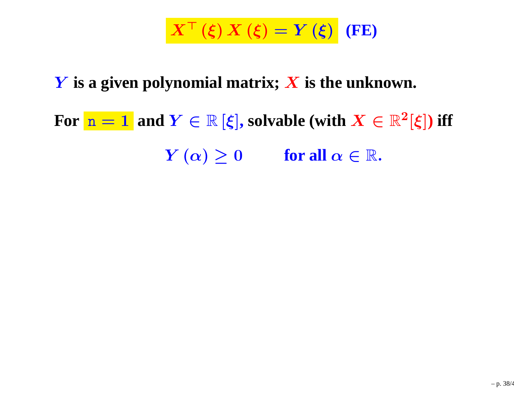$X^{\top}(\xi) X(\xi) = Y(\xi)$  (FE)

## Y **is <sup>a</sup> <sup>g</sup>iven polynomial matrix;** <sup>X</sup> **is the unknown.**

# **For**  $n = 1$  and  $Y \in \mathbb{R}$  [ $\xi$ ], solvable (with  $X \in \mathbb{R}^2$ [ $\xi$ ]) iff  $Y(\alpha) \ge 0$  **for all**  $\alpha \in \mathbb{R}$ .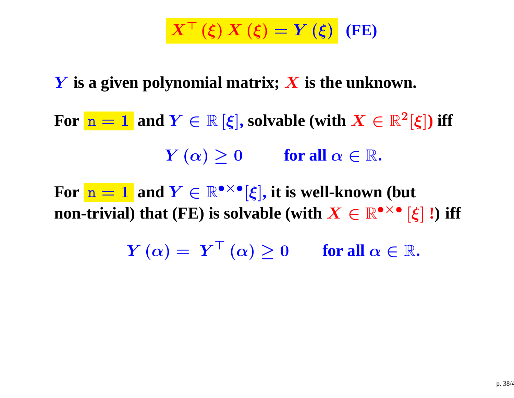## $X^{\top}(\xi) X(\xi) = Y(\xi)$  (FE)

## Y **is <sup>a</sup> <sup>g</sup>iven polynomial matrix;** <sup>X</sup> **is the unknown.**

- **For**  $n = 1$  and  $Y \in \mathbb{R}$  [ $\xi$ ], solvable (with  $X \in \mathbb{R}^2$ [ $\xi$ ]) iff  $Y(\alpha) \ge 0$  **for all**  $\alpha \in \mathbb{R}$ .
- **For**  $n = 1$  and  $Y \in \mathbb{R}^{\bullet \times \bullet} [\xi]$ , it is well-known (but **non-trivial) that** (FE) is solvable (with  $X \in \mathbb{R}^{\bullet \times \bullet} [\xi]$  !) iff
	- $Y(\alpha) = Y^{\top}(\alpha) \ge 0$  **for all**  $\alpha \in \mathbb{R}$ .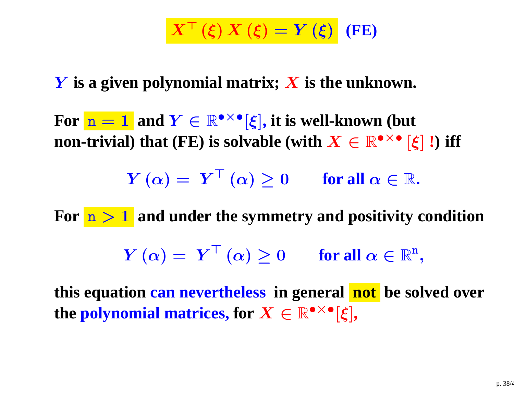$X^{\top}(\xi) X(\xi) = Y(\xi)$  (FE)

## Y **is <sup>a</sup> <sup>g</sup>iven polynomial matrix;** <sup>X</sup> **is the unknown.**

**For**  $n = 1$  and  $Y \in \mathbb{R}^{\bullet \times \bullet} [\xi]$ , it is well-known (but **non-trivial) that** (FE) is solvable (with  $X \in \mathbb{R}^{\bullet \times \bullet} [\xi]$  !) iff

 $Y(\alpha) = Y^{\top}(\alpha) \ge 0$  **for all**  $\alpha \in \mathbb{R}$ .

**For** <sup>n</sup> <sup>&</sup>gt; <sup>1</sup> **and under the symmetry and positivity condition**  $Y(\alpha) = Y^{\top}(\alpha) \ge 0$  **for all**  $\alpha \in \mathbb{R}^{n}$ ,

**this equation can nevertheless in genera<sup>l</sup> not be solved over the polynomial matrices, for**  $X \in \mathbb{R}^{\bullet \times \bullet}[\xi]$ ,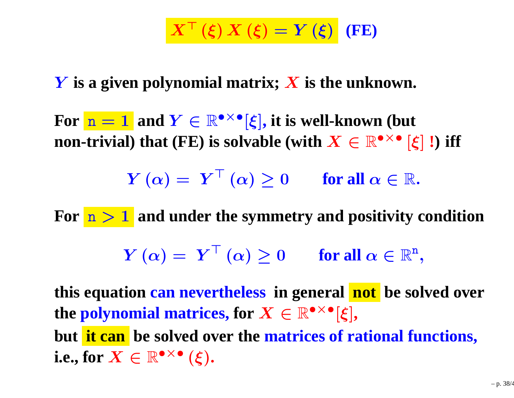$X^{\top}(\xi) X(\xi) = Y(\xi)$  (FE)

# Y **is <sup>a</sup> <sup>g</sup>iven polynomial matrix;** <sup>X</sup> **is the unknown.**

**For**  $n = 1$  and  $Y \in \mathbb{R}^{\bullet \times \bullet} [\xi]$ , it is well-known (but **non-trivial) that** (FE) is solvable (with  $X \in \mathbb{R}^{\bullet \times \bullet} [\xi]$  !) iff

 $Y(\alpha) = Y^{\top}(\alpha) \ge 0$  **for all**  $\alpha \in \mathbb{R}$ .

**For** <sup>n</sup> <sup>&</sup>gt; <sup>1</sup> **and under the symmetry and positivity condition**

 $Y(\alpha) = Y^{\top}(\alpha) \ge 0$  **for all**  $\alpha \in \mathbb{R}^{n}$ ,

**this equation can nevertheless in genera<sup>l</sup> not be solved over**  ${\bf f}$  **the polynomial matrices, for**  $X\in \mathbb{R}^{\bullet \times \bullet}[\xi],$ **but it can be solved over the matrices of rational functions, i.e., for**  $X \in \mathbb{R}^{\bullet \times \bullet} (\xi)$ .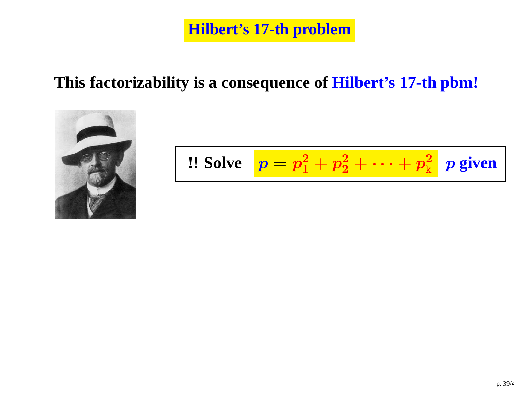**Hilbert's 17-th problem**

## **This factorizability is <sup>a</sup> consequence of Hilbert's 17-th pbm!**



$$
\text{1: Solve} \quad p = p_1^2 + p_2^2 + \dots + p_k^2 \quad p \text{ given}
$$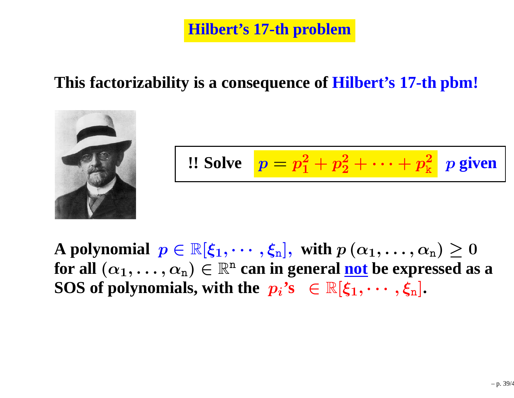**Hilbert's 17-th problem**

## **This factorizability is <sup>a</sup> consequence of Hilbert's 17-th pbm!**



$$
\text{:: Solve} \quad p = p_1^2 + p_2^2 + \dots + p_k^2 \quad p \text{ given}
$$

**A** polynomial  $p \in \mathbb{R}[\xi_1, \cdots, \xi_n],$  with  $p(\alpha_1, \ldots, \alpha_n) \geq 0$ <br>for all ( $\alpha$ )  $\alpha$  )  $\in \mathbb{R}^n$  can in general not be expressed as **for all**  $(\alpha_1, \ldots, \alpha_n) \in \mathbb{R}^n$  can in general <u>not</u> be expressed as a  $\alpha \in \mathbb{R}^n$  of  $\alpha$  and  $\alpha$  is  $\alpha$  is  $\alpha$  is  $\alpha$  is  $\alpha$  is  $\alpha$  is  $\alpha$  is  $\alpha$  is  $\alpha$  is  $\alpha$  is  $\alpha$  is  $\alpha$  is  $\alpha$  is  $\alpha$  is  $\alpha$  **SOS** of polynomials, with the  $p_i$ 's  $\in \mathbb{R}[\xi_1, \cdots, \xi_n]$ .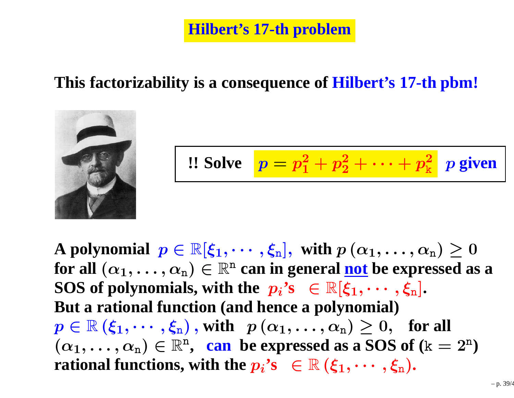## **This factorizability is <sup>a</sup> consequence of Hilbert's 17-th pbm!**



$$
\text{:: Solve} \quad p = p_1^2 + p_2^2 + \dots + p_k^2 \quad p \text{ given}
$$

**A** polynomial  $p \in \mathbb{R}[\xi_1, \cdots, \xi_n],$  with  $p(\alpha_1, \ldots, \alpha_n) \geq 0$ <br>for all ( $\alpha$ )  $\alpha$  )  $\in \mathbb{R}^n$  can in general not be expressed as **for all**  $(\alpha_1, \ldots, \alpha_n) \in \mathbb{R}^n$  can in general <u>not</u> be expressed as a  $\alpha \in \mathbb{R}^n$  of  $\alpha$  and  $\alpha$  is  $\alpha$  is  $\alpha$  is  $\alpha$  is  $\alpha$  is  $\alpha$  is  $\alpha$  is  $\alpha$  is  $\alpha$  is  $\alpha$  is  $\alpha$  is  $\alpha$  is  $\alpha$  is  $\alpha$  is  $\alpha$  **SOS** of polynomials, with the  $p_i$ 's  $\in \mathbb{R}[\xi_1, \cdots, \xi_n].$ <br>Rut a rational function (and hones a polynomial) **But <sup>a</sup> rational function (and hence <sup>a</sup> polynomial)** $p \in \mathbb{R} (\xi_1, \dots, \xi_n)$ , with  $p (\alpha_1, \dots, \alpha_n) \geq 0$ , for all  $(\alpha_1, \ldots, \alpha_n) \in \mathbb{R}^n$ , can be expressed as a SOS of  $(k = 2^n)$ *rational functions, with the*  $p_i$ *'s*  $\in \mathbb{R}$   $(\xi_1, \dots, \xi_n)$ .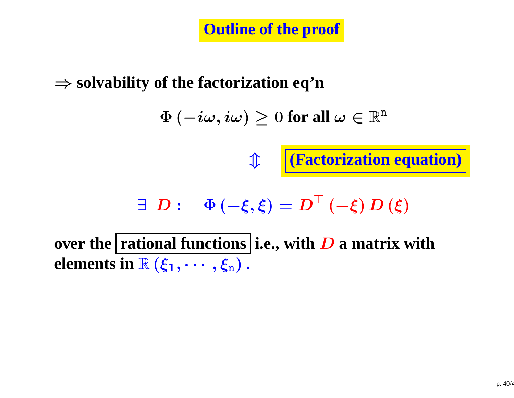**Outline of the proof**

# ⇒ **solvability of the factorization eq'n**

 $\Phi\left(-i\omega,i\omega\right)\geq0$  for all  $\omega\in\mathbb{R}^{\mathtt{n}}$ 

 $\hat{\mathbb{I}}$ 

 $\exists D: \Phi(-\xi, \xi) = D^{\top}(-\xi) D(\xi)$ 

**(Factorization equation)**

**over** the **rational functions** i.e., with **D a** matrix with **obtaining elements** in  $\mathbb{R}(\xi_1,\cdots,\xi_n)$  .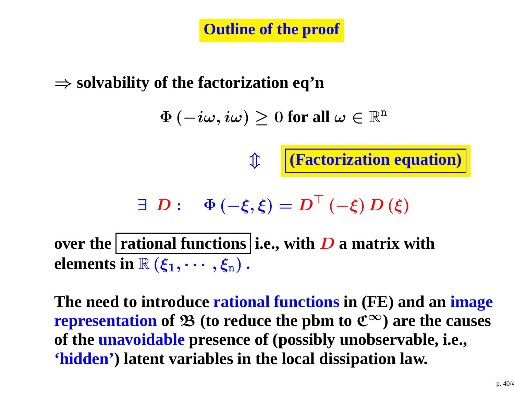**Outline of the proof**

⇒ **solvability of the factorization eq'n**

 $\Phi\left(-i\omega,i\omega\right)\geq0$  for all  $\omega\in\mathbb{R}^{\mathtt{n}}$ 

 $\exists D: \Phi(-\xi, \xi) = D^{\top}(-\xi) D(\xi)$ 

m **(Factorization equation)**

**over** the **rational functions** i.e., with **D a** matrix with **obtaining elements** in  $\mathbb{R}(\xi_1,\cdots,\xi_n)$  .

**The need to introduce rational functions in (FE) and an image**  $\mathbf{r}$  **epresentation** of  $\mathfrak{B}$  (to reduce the pbm to  $\mathfrak{C}^{\infty}$ ) are the causes<br>of the unavoidable presence of (possibly unobservable, i.e., **of the unavoidable presence of (possibly unobservable, i.e., 'hidden') latent variables in the local dissipation law.**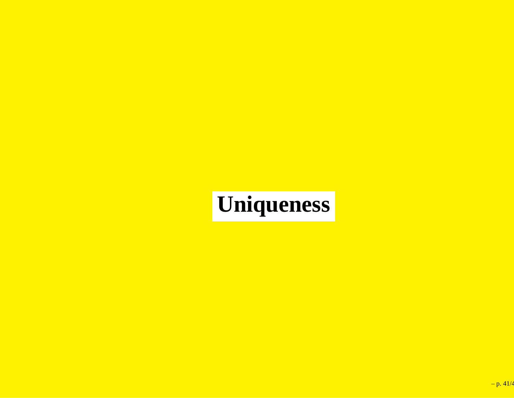# **Uniqueness**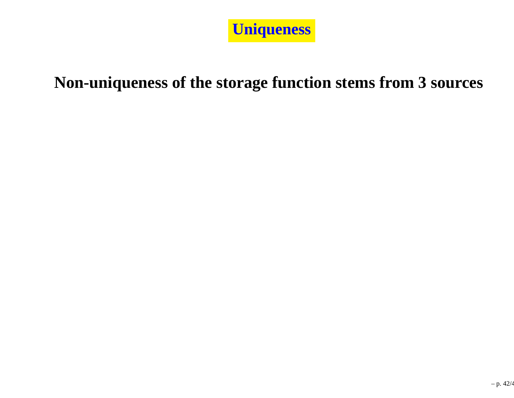

#### **Non-uniqueness of the storage function stems from 3 sources**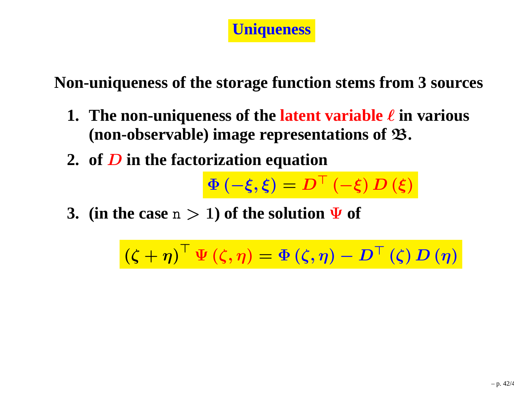

**Non-uniqueness of the storage function stems from 3 sources**

- **1. The non-uniqueness of the latent variable** ℓ **in various (non-observable) image representations of** <sup>B</sup>**.**
- **2. of** <sup>D</sup> **in the factorization equation**

 $\Phi\left(-\xi,\xi\right)=$  $=\boldsymbol{D}^{\top}\left(-\boldsymbol{\xi}\right)\boldsymbol{D}\left(\boldsymbol{\xi}\right)$ 

**3.** (in the case  $n > 1$ ) of the solution  $\Psi$  of

 $(\zeta + )$  $(\bm{\zeta}, \bm{\eta})^{\top} \Psi (\bm{\zeta}, \bm{\eta}) = \Phi (\bm{\zeta}, \bm{\eta}) - \bm{D}^{\top} (\bm{\zeta}) \, \bm{D} \left( \bm{\eta} \right)$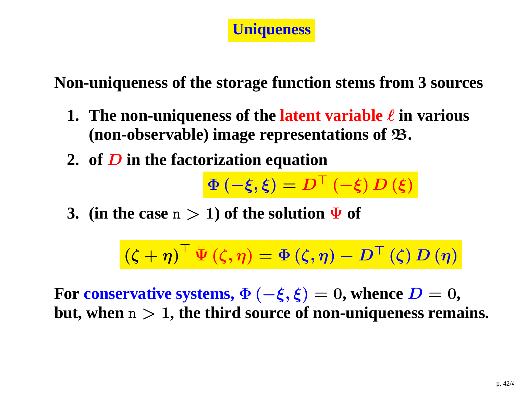

**Non-uniqueness of the storage function stems from 3 sources**

- **1. The non-uniqueness of the latent variable** ℓ **in various (non-observable) image representations of** <sup>B</sup>**.**
- **2. of** <sup>D</sup> **in the factorization equation**

 $\Phi\left(-\xi,\xi\right)=$  $=\boldsymbol{D}^{\top}\left(-\boldsymbol{\xi}\right)\boldsymbol{D}\left(\boldsymbol{\xi}\right)$ 

**3.** (in the case  $n > 1$ ) of the solution  $\Psi$  of

$$
(\zeta + \eta)^{\top} \Psi (\zeta, \eta) = \Phi (\zeta, \eta) - D^{\top} (\zeta) D (\eta)
$$

 $\mathbf{For\,\, conservative\,\, systems,}\,\Phi\left(-\boldsymbol{\xi},\boldsymbol{\xi}\right)=0,$  whence  $\boldsymbol{D}=0,$ <br>but when  $n>1$  the third source of non-uniqueness rems **but, when** <sup>n</sup> <sup>&</sup>gt; <sup>1</sup>**, the third source of non-uniqueness remains.**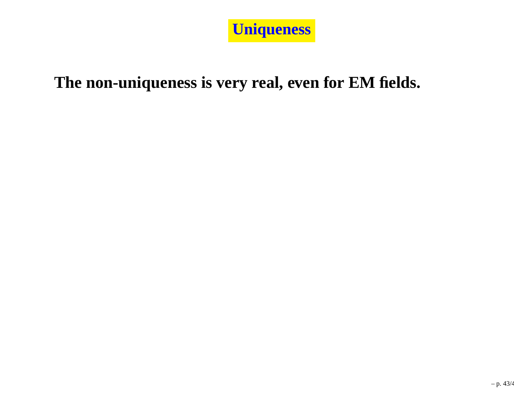

#### **The non-uniqueness is very real, even for EM fields.**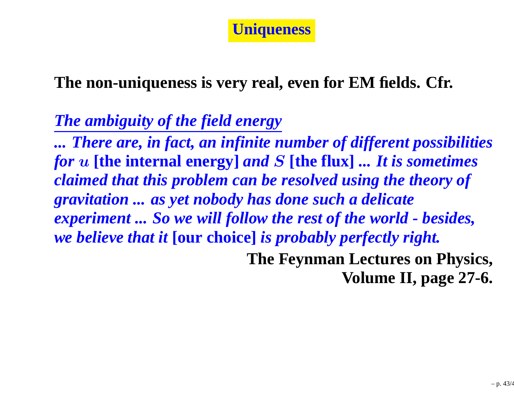

**The non-uniqueness is very real, even for EM fields. Cfr.**

#### *The ambiguity of the field energy*

*... There are, in fact, an infinite number of different possibilitiesfor* <sup>u</sup> **[the internal energy]** *and* <sup>S</sup> **[the flux]** *... It is sometimes claimed that this problem can be resolved using the theory ofgravitation ... as yet nobody has done such <sup>a</sup> delicate*experiment ... So we will follow the rest of the world - besides, *we believe that it* **[our choice]** *is probably perfectly right.* **The Feynman Lectures on Physics,**

**Volume II, page 27-6.**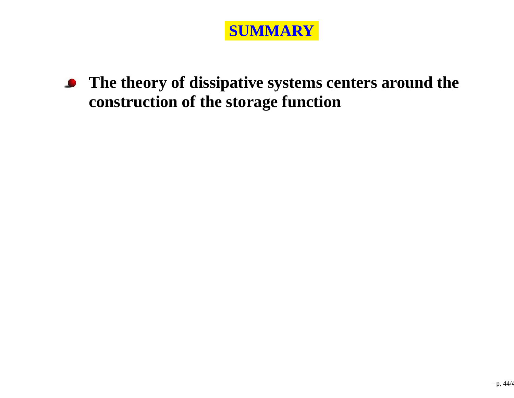

**The theory of dissipative systems centers around the** $\bullet$ **construction of the storage function**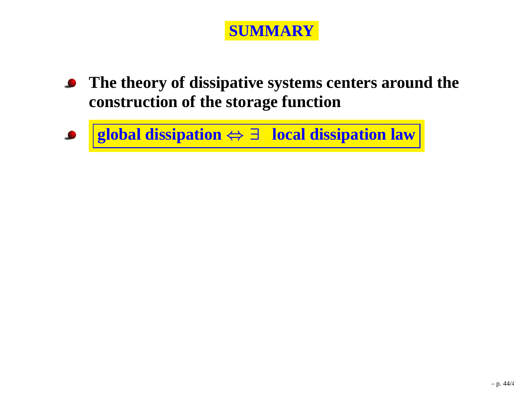

- **The theory of dissipative systems centers around the** $\bullet$ **construction of the storage function**
- **global dissipation** <sup>⇔</sup> <sup>∃</sup> **local dissipation law**  $\bullet$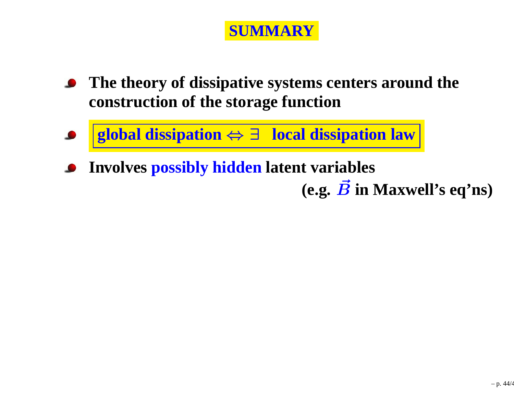#### **SUMMARY**

- **The theory of dissipative systems centers around theconstruction of the storage function**
- **global dissipation** <sup>⇔</sup> <sup>∃</sup> **local dissipation law**  $\bullet$
- **Involves possibly hidden latent variables**

 $(\mathbf{e}.\mathbf{g},\ \vec{B}~\mathbf{in}~\mathbf{Maxwell's}~\mathbf{eq'ns})$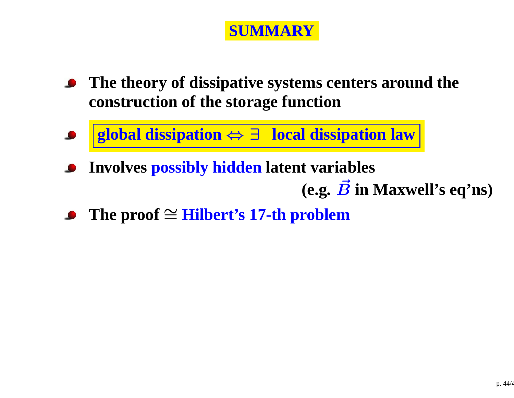#### **SUMMARY**

- **The theory of dissipative systems centers around theconstruction of the storage function**
- **global dissipation** <sup>⇔</sup> <sup>∃</sup> **local dissipation law**  $\bullet$
- **Involves possibly hidden latent variables**  $(\mathbf{e}.\mathbf{g},\ \vec{B}~\mathbf{in}~\mathbf{Maxwell's}~\mathbf{eq'ns})$
- **The proof** <sup>∼</sup><sup>=</sup> **Hilbert's 17-th problem**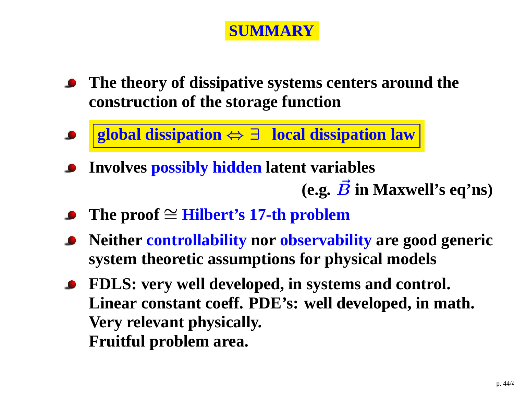#### **SUMMARY**

- **The theory of dissipative systems centers around theconstruction of the storage function**
- **global dissipation** <sup>⇔</sup> <sup>∃</sup> **local dissipation law**  $\bullet$
- **Involves possibly hidden latent variables**  $(\mathbf{e}.\mathbf{g},\ \vec{B}~\mathbf{in}~\mathbf{Maxwell's}~\mathbf{eq'ns})$
- **The proof** <sup>∼</sup><sup>=</sup> **Hilbert's 17-th problem**
- **Neither controllability nor observability are good generic system theoretic assumptions for physical models**
- **FDLS: very well developed, in systems and control. Linear constant coeff. PDE's: well developed, in math. Very relevant physically. Fruitful problem area.**